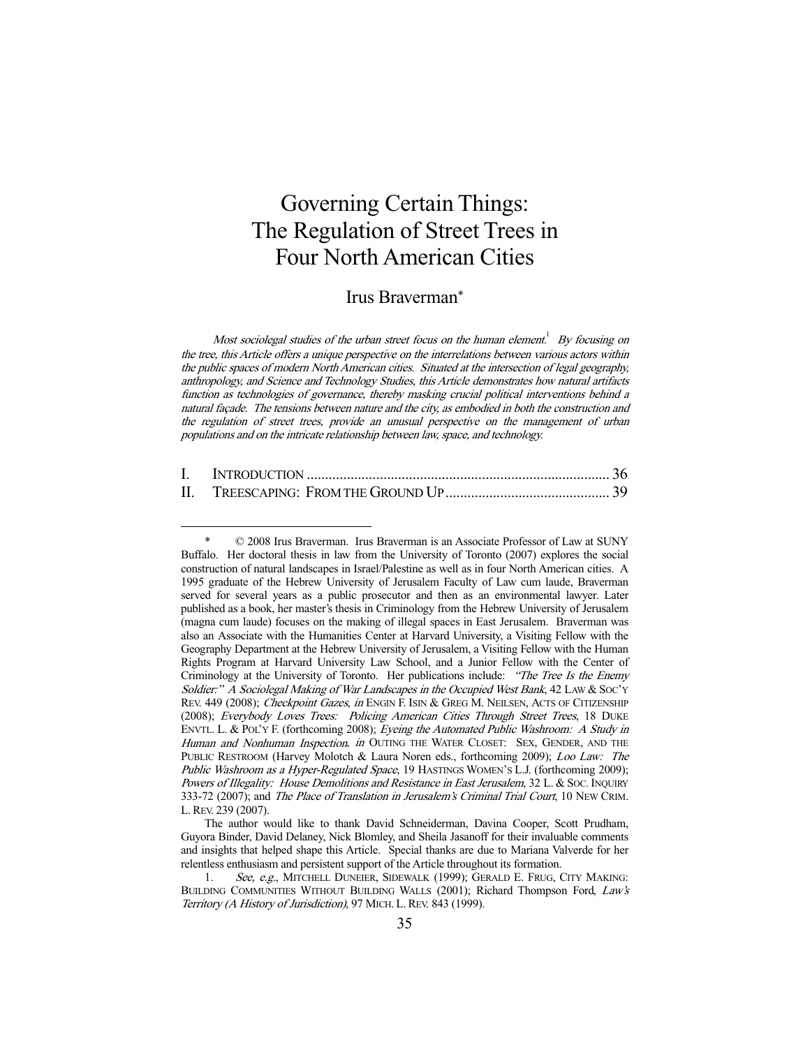# Governing Certain Things: The Regulation of Street Trees in Four North American Cities

# Irus Braverman\*

Most sociolegal studies of the urban street focus on the human element.<sup>1</sup> By focusing on the tree, this Article offers a unique perspective on the interrelations between various actors within the public spaces of modern North American cities. Situated at the intersection of legal geography, anthropology, and Science and Technology Studies, this Article demonstrates how natural artifacts function as technologies of governance, thereby masking crucial political interventions behind a natural façade. The tensions between nature and the city, as embodied in both the construction and the regulation of street trees, provide an unusual perspective on the management of urban populations and on the intricate relationship between law, space, and technology.

| П. |  |
|----|--|

 <sup>\* © 2008</sup> Irus Braverman. Irus Braverman is an Associate Professor of Law at SUNY Buffalo. Her doctoral thesis in law from the University of Toronto (2007) explores the social construction of natural landscapes in Israel/Palestine as well as in four North American cities. A 1995 graduate of the Hebrew University of Jerusalem Faculty of Law cum laude, Braverman served for several years as a public prosecutor and then as an environmental lawyer. Later published as a book, her master's thesis in Criminology from the Hebrew University of Jerusalem (magna cum laude) focuses on the making of illegal spaces in East Jerusalem. Braverman was also an Associate with the Humanities Center at Harvard University, a Visiting Fellow with the Geography Department at the Hebrew University of Jerusalem, a Visiting Fellow with the Human Rights Program at Harvard University Law School, and a Junior Fellow with the Center of Criminology at the University of Toronto. Her publications include: "The Tree Is the Enemy Soldier:" A Sociolegal Making of War Landscapes in the Occupied West Bank, 42 LAW & SOC'Y REV. 449 (2008); Checkpoint Gazes, in ENGIN F. ISIN & GREG M. NEILSEN, ACTS OF CITIZENSHIP (2008); Everybody Loves Trees: Policing American Cities Through Street Trees, 18 DUKE ENVTL. L. & POL'Y F. (forthcoming 2008); Eyeing the Automated Public Washroom: A Study in Human and Nonhuman Inspection, in OUTING THE WATER CLOSET: SEX, GENDER, AND THE PUBLIC RESTROOM (Harvey Molotch & Laura Noren eds., forthcoming 2009); Loo Law: The Public Washroom as a Hyper-Regulated Space, 19 HASTINGS WOMEN'S L.J. (forthcoming 2009); Powers of Illegality: House Demolitions and Resistance in East Jerusalem, 32 L. & Soc. INQUIRY 333-72 (2007); and The Place of Translation in Jerusalem's Criminal Trial Court, 10 NEW CRIM. L.REV. 239 (2007).

The author would like to thank David Schneiderman, Davina Cooper, Scott Prudham, Guyora Binder, David Delaney, Nick Blomley, and Sheila Jasanoff for their invaluable comments and insights that helped shape this Article. Special thanks are due to Mariana Valverde for her relentless enthusiasm and persistent support of the Article throughout its formation.

<sup>1.</sup> See, e.g., MITCHELL DUNEIER, SIDEWALK (1999); GERALD E. FRUG, CITY MAKING: BUILDING COMMUNITIES WITHOUT BUILDING WALLS (2001); Richard Thompson Ford, Law's Territory (A History of Jurisdiction), 97 MICH. L. REV. 843 (1999).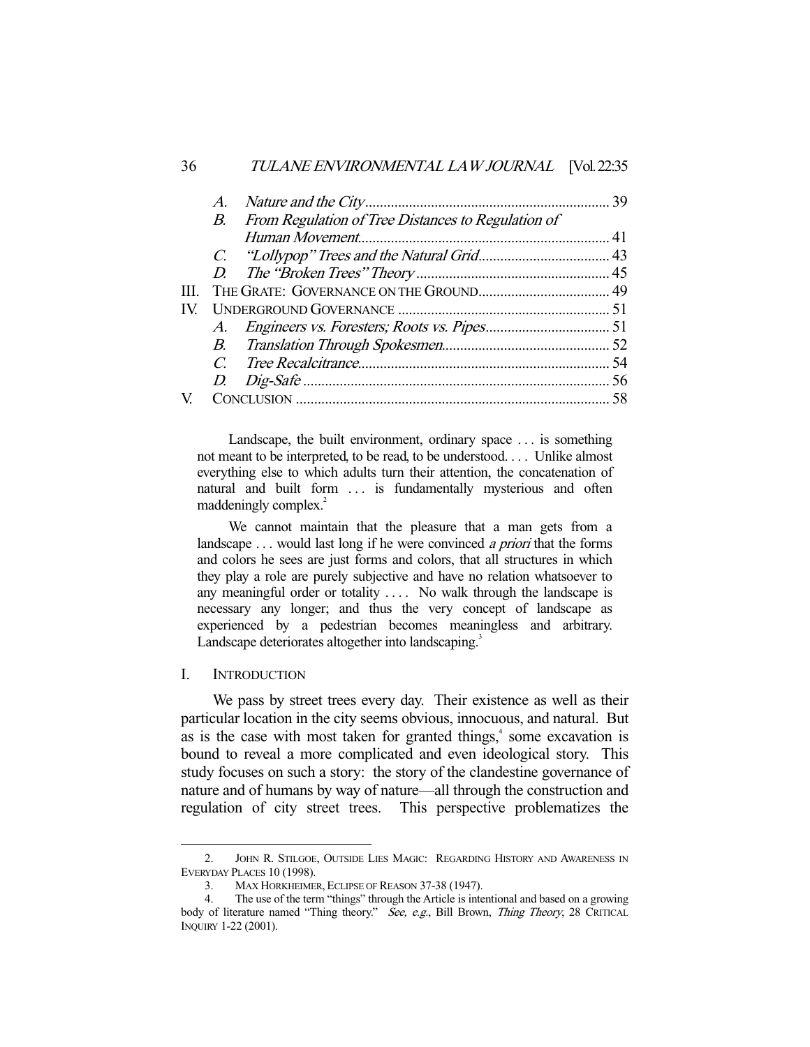|      | A. |                                                    |  |
|------|----|----------------------------------------------------|--|
|      | В. | From Regulation of Tree Distances to Regulation of |  |
|      |    |                                                    |  |
|      |    |                                                    |  |
|      |    |                                                    |  |
| III. |    |                                                    |  |
| IV   |    |                                                    |  |
|      |    |                                                    |  |
|      |    |                                                    |  |
|      |    |                                                    |  |
|      |    |                                                    |  |
|      |    |                                                    |  |
|      |    |                                                    |  |

 Landscape, the built environment, ordinary space . . . is something not meant to be interpreted, to be read, to be understood. . . . Unlike almost everything else to which adults turn their attention, the concatenation of natural and built form ... is fundamentally mysterious and often maddeningly complex.<sup>2</sup>

 We cannot maintain that the pleasure that a man gets from a landscape ... would last long if he were convinced *a priori* that the forms and colors he sees are just forms and colors, that all structures in which they play a role are purely subjective and have no relation whatsoever to any meaningful order or totality . . . . No walk through the landscape is necessary any longer; and thus the very concept of landscape as experienced by a pedestrian becomes meaningless and arbitrary. Landscape deteriorates altogether into landscaping.<sup>3</sup>

## I. INTRODUCTION

-

 We pass by street trees every day. Their existence as well as their particular location in the city seems obvious, innocuous, and natural. But as is the case with most taken for granted things,<sup>4</sup> some excavation is bound to reveal a more complicated and even ideological story. This study focuses on such a story: the story of the clandestine governance of nature and of humans by way of nature—all through the construction and regulation of city street trees. This perspective problematizes the

 <sup>2.</sup> JOHN R. STILGOE, OUTSIDE LIES MAGIC: REGARDING HISTORY AND AWARENESS IN EVERYDAY PLACES 10 (1998).

 <sup>3.</sup> MAX HORKHEIMER, ECLIPSE OF REASON 37-38 (1947).

 <sup>4.</sup> The use of the term "things" through the Article is intentional and based on a growing body of literature named "Thing theory." See, e.g., Bill Brown, Thing Theory, 28 CRITICAL INQUIRY 1-22 (2001).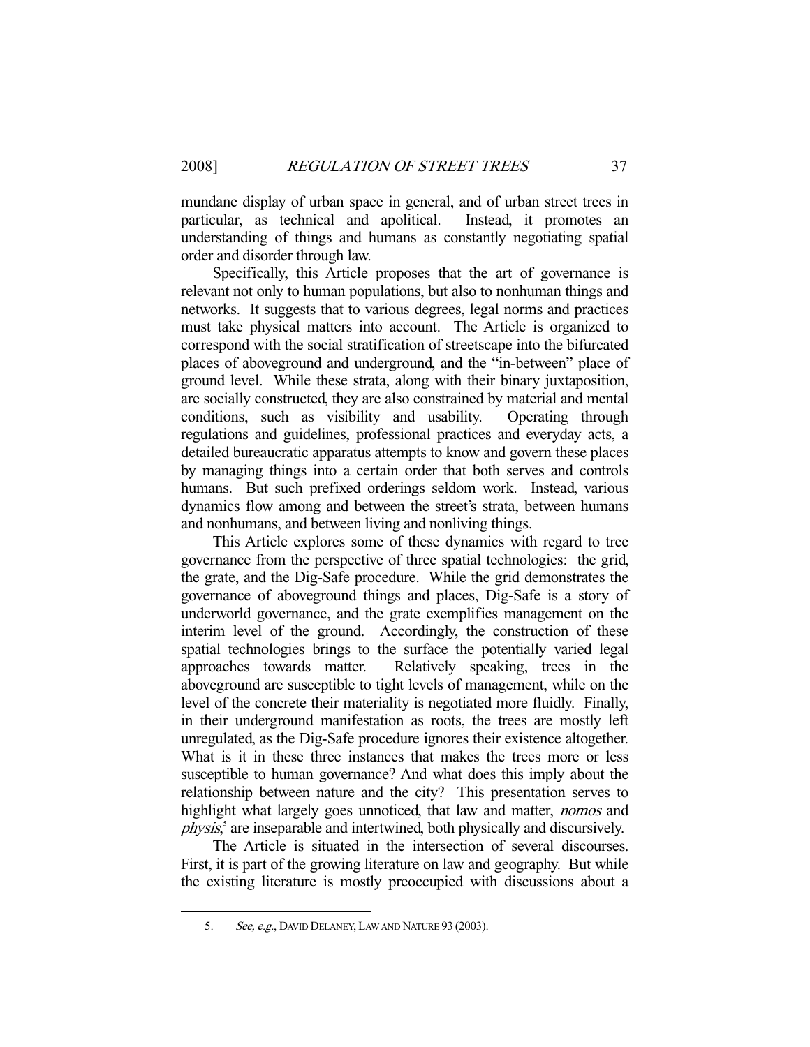mundane display of urban space in general, and of urban street trees in particular, as technical and apolitical. Instead, it promotes an understanding of things and humans as constantly negotiating spatial order and disorder through law.

 Specifically, this Article proposes that the art of governance is relevant not only to human populations, but also to nonhuman things and networks. It suggests that to various degrees, legal norms and practices must take physical matters into account. The Article is organized to correspond with the social stratification of streetscape into the bifurcated places of aboveground and underground, and the "in-between" place of ground level. While these strata, along with their binary juxtaposition, are socially constructed, they are also constrained by material and mental conditions, such as visibility and usability. Operating through regulations and guidelines, professional practices and everyday acts, a detailed bureaucratic apparatus attempts to know and govern these places by managing things into a certain order that both serves and controls humans. But such prefixed orderings seldom work. Instead, various dynamics flow among and between the street's strata, between humans and nonhumans, and between living and nonliving things.

 This Article explores some of these dynamics with regard to tree governance from the perspective of three spatial technologies: the grid, the grate, and the Dig-Safe procedure. While the grid demonstrates the governance of aboveground things and places, Dig-Safe is a story of underworld governance, and the grate exemplifies management on the interim level of the ground. Accordingly, the construction of these spatial technologies brings to the surface the potentially varied legal approaches towards matter. Relatively speaking, trees in the aboveground are susceptible to tight levels of management, while on the level of the concrete their materiality is negotiated more fluidly. Finally, in their underground manifestation as roots, the trees are mostly left unregulated, as the Dig-Safe procedure ignores their existence altogether. What is it in these three instances that makes the trees more or less susceptible to human governance? And what does this imply about the relationship between nature and the city? This presentation serves to highlight what largely goes unnoticed, that law and matter, *nomos* and physis,<sup>5</sup> are inseparable and intertwined, both physically and discursively.

 The Article is situated in the intersection of several discourses. First, it is part of the growing literature on law and geography. But while the existing literature is mostly preoccupied with discussions about a

<sup>5.</sup> See, e.g., DAVID DELANEY, LAW AND NATURE 93 (2003).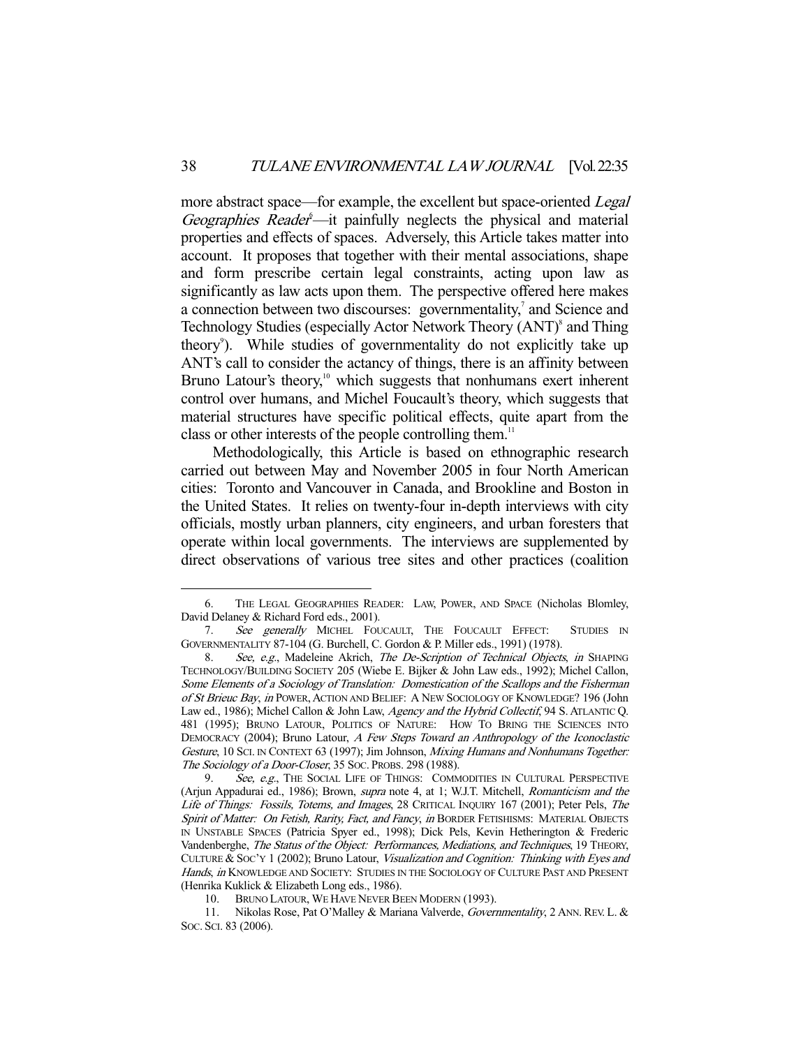more abstract space—for example, the excellent but space-oriented *Legal* Geographies Reader<sup>6</sup>—it painfully neglects the physical and material properties and effects of spaces. Adversely, this Article takes matter into account. It proposes that together with their mental associations, shape and form prescribe certain legal constraints, acting upon law as significantly as law acts upon them. The perspective offered here makes a connection between two discourses: governmentality, $\alpha$  and Science and Technology Studies (especially Actor Network Theory (ANT)<sup>8</sup> and Thing theory<sup>9</sup>). While studies of governmentality do not explicitly take up ANT's call to consider the actancy of things, there is an affinity between Bruno Latour's theory,<sup>10</sup> which suggests that nonhumans exert inherent control over humans, and Michel Foucault's theory, which suggests that material structures have specific political effects, quite apart from the class or other interests of the people controlling them.<sup>11</sup>

 Methodologically, this Article is based on ethnographic research carried out between May and November 2005 in four North American cities: Toronto and Vancouver in Canada, and Brookline and Boston in the United States. It relies on twenty-four in-depth interviews with city officials, mostly urban planners, city engineers, and urban foresters that operate within local governments. The interviews are supplemented by direct observations of various tree sites and other practices (coalition

 <sup>6.</sup> THE LEGAL GEOGRAPHIES READER: LAW, POWER, AND SPACE (Nicholas Blomley, David Delaney & Richard Ford eds., 2001).

<sup>7.</sup> See generally MICHEL FOUCAULT, THE FOUCAULT EFFECT: STUDIES IN GOVERNMENTALITY 87-104 (G. Burchell, C. Gordon & P. Miller eds., 1991) (1978).

<sup>8.</sup> See, e.g., Madeleine Akrich, The De-Scription of Technical Objects, in SHAPING TECHNOLOGY/BUILDING SOCIETY 205 (Wiebe E. Bijker & John Law eds., 1992); Michel Callon, Some Elements of a Sociology of Translation: Domestication of the Scallops and the Fisherman of St Brieuc Bay, in POWER, ACTION AND BELIEF: A NEW SOCIOLOGY OF KNOWLEDGE? 196 (John Law ed., 1986); Michel Callon & John Law, Agency and the Hybrid Collectif, 94 S. ATLANTIC Q. 481 (1995); BRUNO LATOUR, POLITICS OF NATURE: HOW TO BRING THE SCIENCES INTO DEMOCRACY (2004); Bruno Latour, A Few Steps Toward an Anthropology of the Iconoclastic Gesture, 10 SCI. IN CONTEXT 63 (1997); Jim Johnson, Mixing Humans and Nonhumans Together: The Sociology of a Door-Closer, 35 Soc. PROBS. 298 (1988).

See, e.g., THE SOCIAL LIFE OF THINGS: COMMODITIES IN CULTURAL PERSPECTIVE (Arjun Appadurai ed., 1986); Brown, supra note 4, at 1; W.J.T. Mitchell, Romanticism and the Life of Things: Fossils, Totems, and Images, 28 CRITICAL INQUIRY 167 (2001); Peter Pels, The Spirit of Matter: On Fetish, Rarity, Fact, and Fancy, in BORDER FETISHISMS: MATERIAL OBJECTS IN UNSTABLE SPACES (Patricia Spyer ed., 1998); Dick Pels, Kevin Hetherington & Frederic Vandenberghe, The Status of the Object: Performances, Mediations, and Techniques, 19 THEORY, CULTURE & SOC'Y 1 (2002); Bruno Latour, Visualization and Cognition: Thinking with Eyes and Hands, in KNOWLEDGE AND SOCIETY: STUDIES IN THE SOCIOLOGY OF CULTURE PAST AND PRESENT (Henrika Kuklick & Elizabeth Long eds., 1986).

 <sup>10.</sup> BRUNO LATOUR, WE HAVE NEVER BEEN MODERN (1993).

<sup>11.</sup> Nikolas Rose, Pat O'Malley & Mariana Valverde, Governmentality, 2 ANN. REV. L. & SOC. SCI. 83 (2006).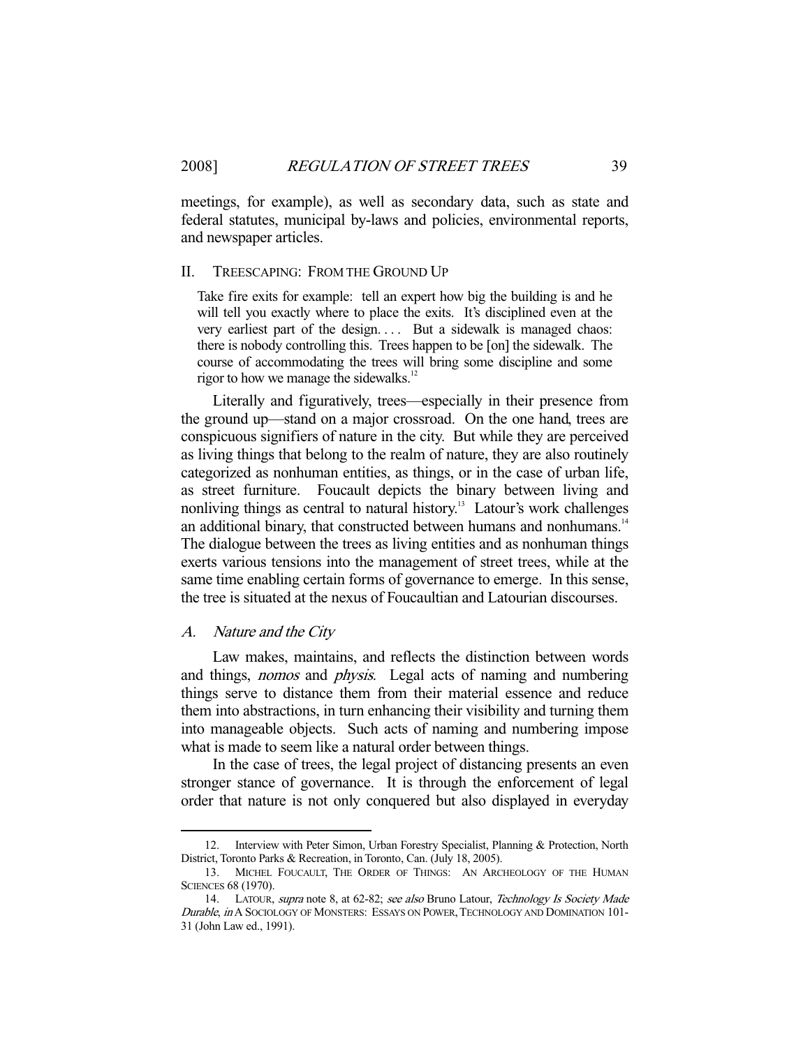meetings, for example), as well as secondary data, such as state and federal statutes, municipal by-laws and policies, environmental reports, and newspaper articles.

#### II. TREESCAPING: FROM THE GROUND UP

Take fire exits for example: tell an expert how big the building is and he will tell you exactly where to place the exits. It's disciplined even at the very earliest part of the design.... But a sidewalk is managed chaos: there is nobody controlling this. Trees happen to be [on] the sidewalk. The course of accommodating the trees will bring some discipline and some rigor to how we manage the sidewalks. $12$ 

 Literally and figuratively, trees—especially in their presence from the ground up—stand on a major crossroad. On the one hand, trees are conspicuous signifiers of nature in the city. But while they are perceived as living things that belong to the realm of nature, they are also routinely categorized as nonhuman entities, as things, or in the case of urban life, as street furniture. Foucault depicts the binary between living and nonliving things as central to natural history.<sup>13</sup> Latour's work challenges an additional binary, that constructed between humans and nonhumans.<sup>14</sup> The dialogue between the trees as living entities and as nonhuman things exerts various tensions into the management of street trees, while at the same time enabling certain forms of governance to emerge. In this sense, the tree is situated at the nexus of Foucaultian and Latourian discourses.

## A. Nature and the City

-

 Law makes, maintains, and reflects the distinction between words and things, nomos and physis. Legal acts of naming and numbering things serve to distance them from their material essence and reduce them into abstractions, in turn enhancing their visibility and turning them into manageable objects. Such acts of naming and numbering impose what is made to seem like a natural order between things.

 In the case of trees, the legal project of distancing presents an even stronger stance of governance. It is through the enforcement of legal order that nature is not only conquered but also displayed in everyday

<sup>12.</sup> Interview with Peter Simon, Urban Forestry Specialist, Planning & Protection, North District, Toronto Parks & Recreation, in Toronto, Can. (July 18, 2005).

 <sup>13.</sup> MICHEL FOUCAULT, THE ORDER OF THINGS: AN ARCHEOLOGY OF THE HUMAN SCIENCES 68 (1970).

<sup>14.</sup> LATOUR, supra note 8, at 62-82; see also Bruno Latour, Technology Is Society Made Durable, in A SOCIOLOGY OF MONSTERS: ESSAYS ON POWER, TECHNOLOGY AND DOMINATION 101-31 (John Law ed., 1991).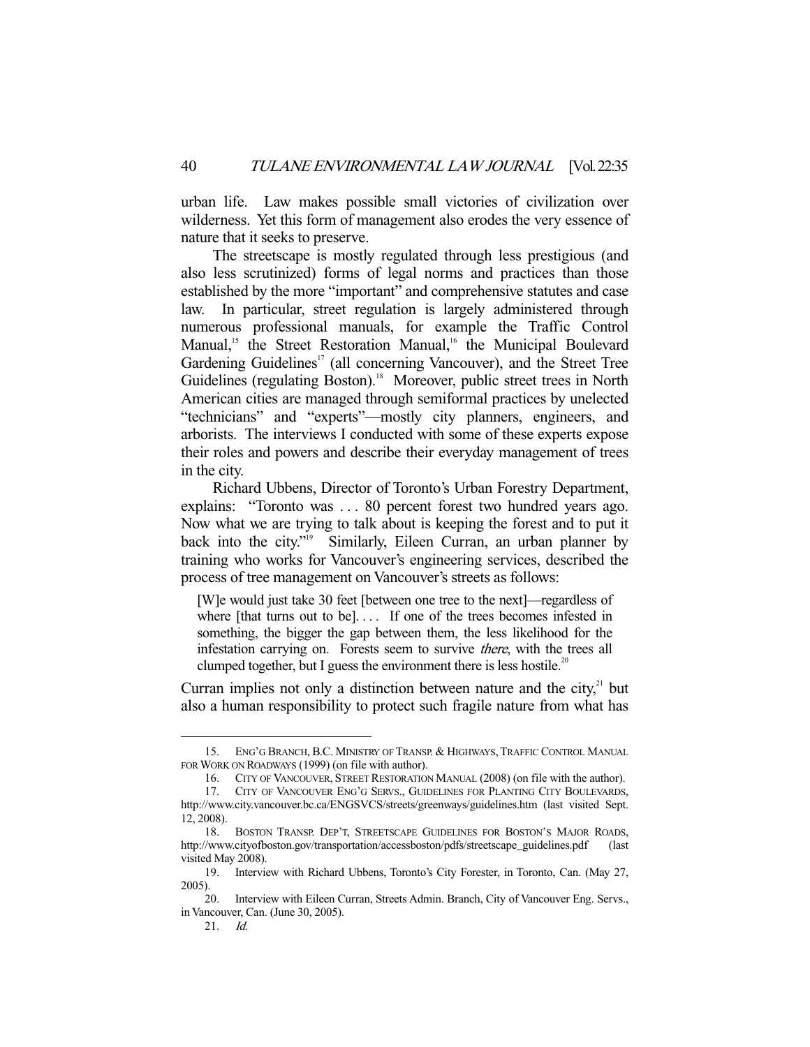urban life. Law makes possible small victories of civilization over wilderness. Yet this form of management also erodes the very essence of nature that it seeks to preserve.

 The streetscape is mostly regulated through less prestigious (and also less scrutinized) forms of legal norms and practices than those established by the more "important" and comprehensive statutes and case law. In particular, street regulation is largely administered through numerous professional manuals, for example the Traffic Control Manual,<sup>15</sup> the Street Restoration Manual,<sup>16</sup> the Municipal Boulevard Gardening Guidelines<sup>17</sup> (all concerning Vancouver), and the Street Tree Guidelines (regulating Boston).<sup>18</sup> Moreover, public street trees in North American cities are managed through semiformal practices by unelected "technicians" and "experts"—mostly city planners, engineers, and arborists. The interviews I conducted with some of these experts expose their roles and powers and describe their everyday management of trees in the city.

 Richard Ubbens, Director of Toronto's Urban Forestry Department, explains: "Toronto was . . . 80 percent forest two hundred years ago. Now what we are trying to talk about is keeping the forest and to put it back into the city."<sup>19</sup> Similarly, Eileen Curran, an urban planner by training who works for Vancouver's engineering services, described the process of tree management on Vancouver's streets as follows:

[W]e would just take 30 feet [between one tree to the next]—regardless of where [that turns out to be].... If one of the trees becomes infested in something, the bigger the gap between them, the less likelihood for the infestation carrying on. Forests seem to survive there, with the trees all clumped together, but I guess the environment there is less hostile.<sup>20</sup>

Curran implies not only a distinction between nature and the city, $2<sup>1</sup>$  but also a human responsibility to protect such fragile nature from what has

<sup>15.</sup> ENG'G BRANCH, B.C. MINISTRY OF TRANSP. & HIGHWAYS, TRAFFIC CONTROL MANUAL FOR WORK ON ROADWAYS (1999) (on file with author).

 <sup>16.</sup> CITY OF VANCOUVER, STREET RESTORATION MANUAL (2008) (on file with the author).

 <sup>17.</sup> CITY OF VANCOUVER ENG'G SERVS., GUIDELINES FOR PLANTING CITY BOULEVARDS, http://www.city.vancouver.bc.ca/ENGSVCS/streets/greenways/guidelines.htm (last visited Sept. 12, 2008).

 <sup>18.</sup> BOSTON TRANSP. DEP'T, STREETSCAPE GUIDELINES FOR BOSTON'S MAJOR ROADS, http://www.cityofboston.gov/transportation/accessboston/pdfs/streetscape\_guidelines.pdf (last visited May 2008).

 <sup>19.</sup> Interview with Richard Ubbens, Toronto's City Forester, in Toronto, Can. (May 27, 2005).

 <sup>20.</sup> Interview with Eileen Curran, Streets Admin. Branch, City of Vancouver Eng. Servs., in Vancouver, Can. (June 30, 2005).

 <sup>21.</sup> Id.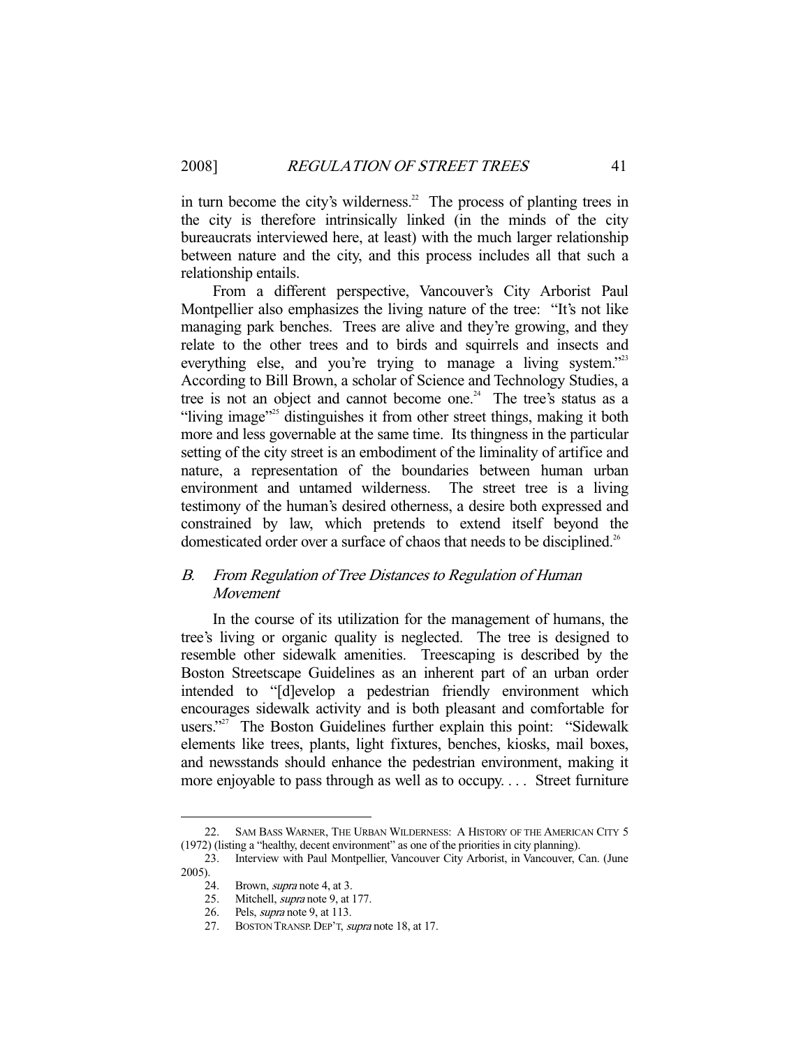in turn become the city's wilderness.<sup>22</sup> The process of planting trees in the city is therefore intrinsically linked (in the minds of the city bureaucrats interviewed here, at least) with the much larger relationship between nature and the city, and this process includes all that such a relationship entails.

 From a different perspective, Vancouver's City Arborist Paul Montpellier also emphasizes the living nature of the tree: "It's not like managing park benches. Trees are alive and they're growing, and they relate to the other trees and to birds and squirrels and insects and everything else, and you're trying to manage a living system."<sup>23</sup> According to Bill Brown, a scholar of Science and Technology Studies, a tree is not an object and cannot become one.<sup>24</sup> The tree's status as a "living image"<sup>25</sup> distinguishes it from other street things, making it both more and less governable at the same time. Its thingness in the particular setting of the city street is an embodiment of the liminality of artifice and nature, a representation of the boundaries between human urban environment and untamed wilderness. The street tree is a living testimony of the human's desired otherness, a desire both expressed and constrained by law, which pretends to extend itself beyond the domesticated order over a surface of chaos that needs to be disciplined.<sup>26</sup>

# B. From Regulation of Tree Distances to Regulation of Human Movement

 In the course of its utilization for the management of humans, the tree's living or organic quality is neglected. The tree is designed to resemble other sidewalk amenities. Treescaping is described by the Boston Streetscape Guidelines as an inherent part of an urban order intended to "[d]evelop a pedestrian friendly environment which encourages sidewalk activity and is both pleasant and comfortable for users."<sup>27</sup> The Boston Guidelines further explain this point: "Sidewalk elements like trees, plants, light fixtures, benches, kiosks, mail boxes, and newsstands should enhance the pedestrian environment, making it more enjoyable to pass through as well as to occupy. . . . Street furniture

 <sup>22.</sup> SAM BASS WARNER, THE URBAN WILDERNESS: A HISTORY OF THE AMERICAN CITY 5 (1972) (listing a "healthy, decent environment" as one of the priorities in city planning).

 <sup>23.</sup> Interview with Paul Montpellier, Vancouver City Arborist, in Vancouver, Can. (June 2005).

 <sup>24.</sup> Brown, supra note 4, at 3.

<sup>25.</sup> Mitchell, *supra* note 9, at 177.

 <sup>26.</sup> Pels, supra note 9, at 113.

 <sup>27.</sup> BOSTON TRANSP. DEP'T, supra note 18, at 17.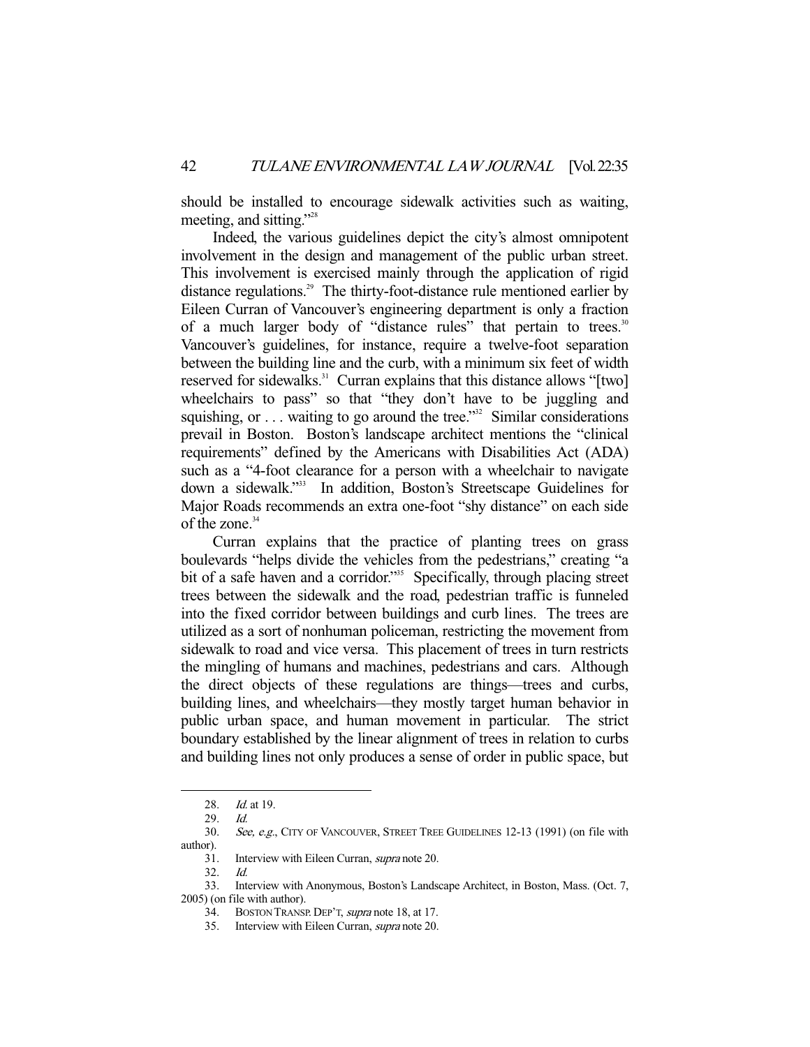should be installed to encourage sidewalk activities such as waiting, meeting, and sitting."<sup>28</sup>

 Indeed, the various guidelines depict the city's almost omnipotent involvement in the design and management of the public urban street. This involvement is exercised mainly through the application of rigid distance regulations.<sup>29</sup> The thirty-foot-distance rule mentioned earlier by Eileen Curran of Vancouver's engineering department is only a fraction of a much larger body of "distance rules" that pertain to trees.<sup>30</sup> Vancouver's guidelines, for instance, require a twelve-foot separation between the building line and the curb, with a minimum six feet of width reserved for sidewalks.<sup>31</sup> Curran explains that this distance allows "[two] wheelchairs to pass" so that "they don't have to be juggling and squishing, or  $\ldots$  waiting to go around the tree."<sup>32</sup> Similar considerations prevail in Boston. Boston's landscape architect mentions the "clinical requirements" defined by the Americans with Disabilities Act (ADA) such as a "4-foot clearance for a person with a wheelchair to navigate down a sidewalk."33 In addition, Boston's Streetscape Guidelines for Major Roads recommends an extra one-foot "shy distance" on each side of the zone.<sup>34</sup>

 Curran explains that the practice of planting trees on grass boulevards "helps divide the vehicles from the pedestrians," creating "a bit of a safe haven and a corridor."<sup>35</sup> Specifically, through placing street trees between the sidewalk and the road, pedestrian traffic is funneled into the fixed corridor between buildings and curb lines. The trees are utilized as a sort of nonhuman policeman, restricting the movement from sidewalk to road and vice versa. This placement of trees in turn restricts the mingling of humans and machines, pedestrians and cars. Although the direct objects of these regulations are things—trees and curbs, building lines, and wheelchairs—they mostly target human behavior in public urban space, and human movement in particular. The strict boundary established by the linear alignment of trees in relation to curbs and building lines not only produces a sense of order in public space, but

<sup>28.</sup> *Id.* at 19.

<sup>29.</sup> *Id.*<br>30. *Sec* 

See, e.g., CITY OF VANCOUVER, STREET TREE GUIDELINES 12-13 (1991) (on file with author).

 <sup>31.</sup> Interview with Eileen Curran, supra note 20.

 <sup>32.</sup> Id.

 <sup>33.</sup> Interview with Anonymous, Boston's Landscape Architect, in Boston, Mass. (Oct. 7, 2005) (on file with author).

 <sup>34.</sup> BOSTON TRANSP. DEP'T, supra note 18, at 17.

 <sup>35.</sup> Interview with Eileen Curran, supra note 20.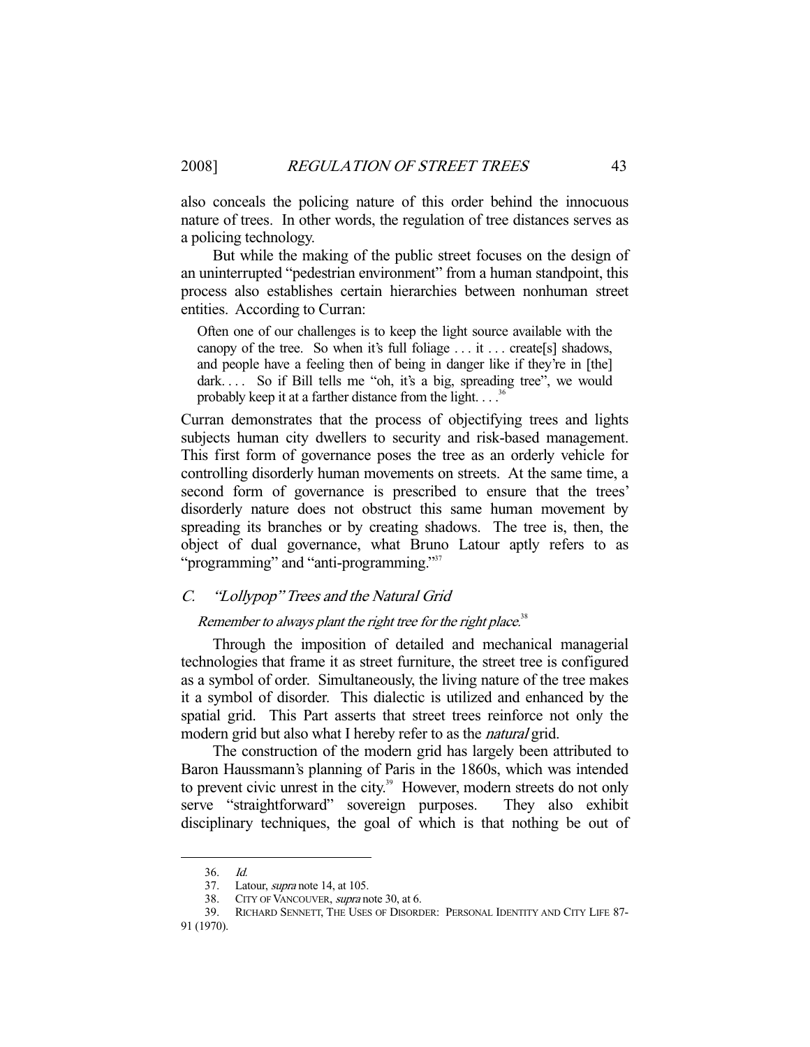also conceals the policing nature of this order behind the innocuous nature of trees. In other words, the regulation of tree distances serves as a policing technology.

 But while the making of the public street focuses on the design of an uninterrupted "pedestrian environment" from a human standpoint, this process also establishes certain hierarchies between nonhuman street entities. According to Curran:

Often one of our challenges is to keep the light source available with the canopy of the tree. So when it's full foliage . . . it . . . create[s] shadows, and people have a feeling then of being in danger like if they're in [the] dark.... So if Bill tells me "oh, it's a big, spreading tree", we would probably keep it at a farther distance from the light.  $\ldots$ <sup>36</sup>

Curran demonstrates that the process of objectifying trees and lights subjects human city dwellers to security and risk-based management. This first form of governance poses the tree as an orderly vehicle for controlling disorderly human movements on streets. At the same time, a second form of governance is prescribed to ensure that the trees' disorderly nature does not obstruct this same human movement by spreading its branches or by creating shadows. The tree is, then, the object of dual governance, what Bruno Latour aptly refers to as "programming" and "anti-programming."<sup>37</sup>

## C. "Lollypop" Trees and the Natural Grid

## Remember to always plant the right tree for the right place. $38$

 Through the imposition of detailed and mechanical managerial technologies that frame it as street furniture, the street tree is configured as a symbol of order. Simultaneously, the living nature of the tree makes it a symbol of disorder. This dialectic is utilized and enhanced by the spatial grid. This Part asserts that street trees reinforce not only the modern grid but also what I hereby refer to as the *natural* grid.

 The construction of the modern grid has largely been attributed to Baron Haussmann's planning of Paris in the 1860s, which was intended to prevent civic unrest in the city.<sup>39</sup> However, modern streets do not only serve "straightforward" sovereign purposes. They also exhibit disciplinary techniques, the goal of which is that nothing be out of

<sup>36.</sup> *Id.*<br>37. La Latour, *supra* note 14, at 105.

<sup>38.</sup> CITY OF VANCOUVER, *supra* note 30, at 6.<br>39. RICHARD SENNETT, THE USES OF DISORT 39. RICHARD SENNETT, THE USES OF DISORDER: PERSONAL IDENTITY AND CITY LIFE 87-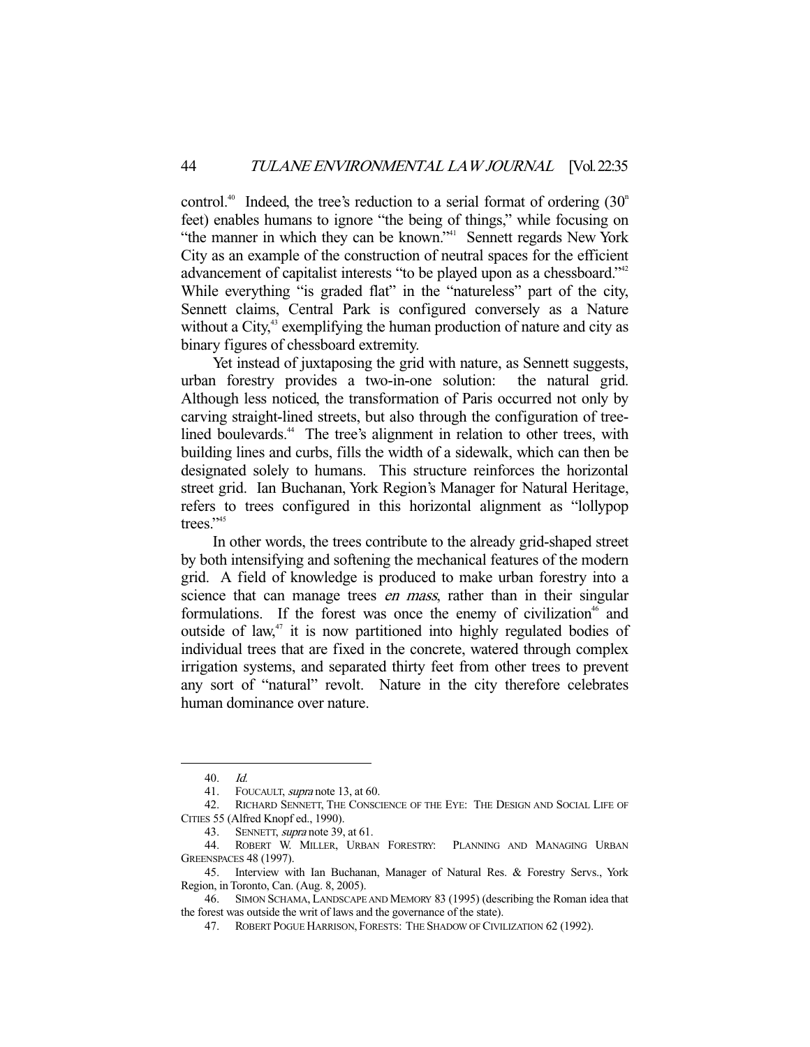control.<sup>40</sup> Indeed, the tree's reduction to a serial format of ordering  $(30<sup>n</sup>$ feet) enables humans to ignore "the being of things," while focusing on "the manner in which they can be known."<sup>41</sup> Sennett regards New York City as an example of the construction of neutral spaces for the efficient advancement of capitalist interests "to be played upon as a chessboard."<sup>42</sup> While everything "is graded flat" in the "natureless" part of the city, Sennett claims, Central Park is configured conversely as a Nature without a City, $43$  exemplifying the human production of nature and city as binary figures of chessboard extremity.

 Yet instead of juxtaposing the grid with nature, as Sennett suggests, urban forestry provides a two-in-one solution: the natural grid. Although less noticed, the transformation of Paris occurred not only by carving straight-lined streets, but also through the configuration of treelined boulevards.<sup>44</sup> The tree's alignment in relation to other trees, with building lines and curbs, fills the width of a sidewalk, which can then be designated solely to humans. This structure reinforces the horizontal street grid. Ian Buchanan, York Region's Manager for Natural Heritage, refers to trees configured in this horizontal alignment as "lollypop trees." $45$ 

 In other words, the trees contribute to the already grid-shaped street by both intensifying and softening the mechanical features of the modern grid. A field of knowledge is produced to make urban forestry into a science that can manage trees *en mass*, rather than in their singular formulations. If the forest was once the enemy of civilization<sup>46</sup> and outside of law,<sup>47</sup> it is now partitioned into highly regulated bodies of individual trees that are fixed in the concrete, watered through complex irrigation systems, and separated thirty feet from other trees to prevent any sort of "natural" revolt. Nature in the city therefore celebrates human dominance over nature.

 <sup>40.</sup> Id.

<sup>41.</sup> FOUCAULT, *supra* note 13, at 60.

 <sup>42.</sup> RICHARD SENNETT, THE CONSCIENCE OF THE EYE: THE DESIGN AND SOCIAL LIFE OF CITIES 55 (Alfred Knopf ed., 1990).

 <sup>43.</sup> SENNETT, supra note 39, at 61.

 <sup>44.</sup> ROBERT W. MILLER, URBAN FORESTRY: PLANNING AND MANAGING URBAN GREENSPACES 48 (1997).

 <sup>45.</sup> Interview with Ian Buchanan, Manager of Natural Res. & Forestry Servs., York Region, in Toronto, Can. (Aug. 8, 2005).

 <sup>46.</sup> SIMON SCHAMA, LANDSCAPE AND MEMORY 83 (1995) (describing the Roman idea that the forest was outside the writ of laws and the governance of the state).

 <sup>47.</sup> ROBERT POGUE HARRISON, FORESTS: THE SHADOW OF CIVILIZATION 62 (1992).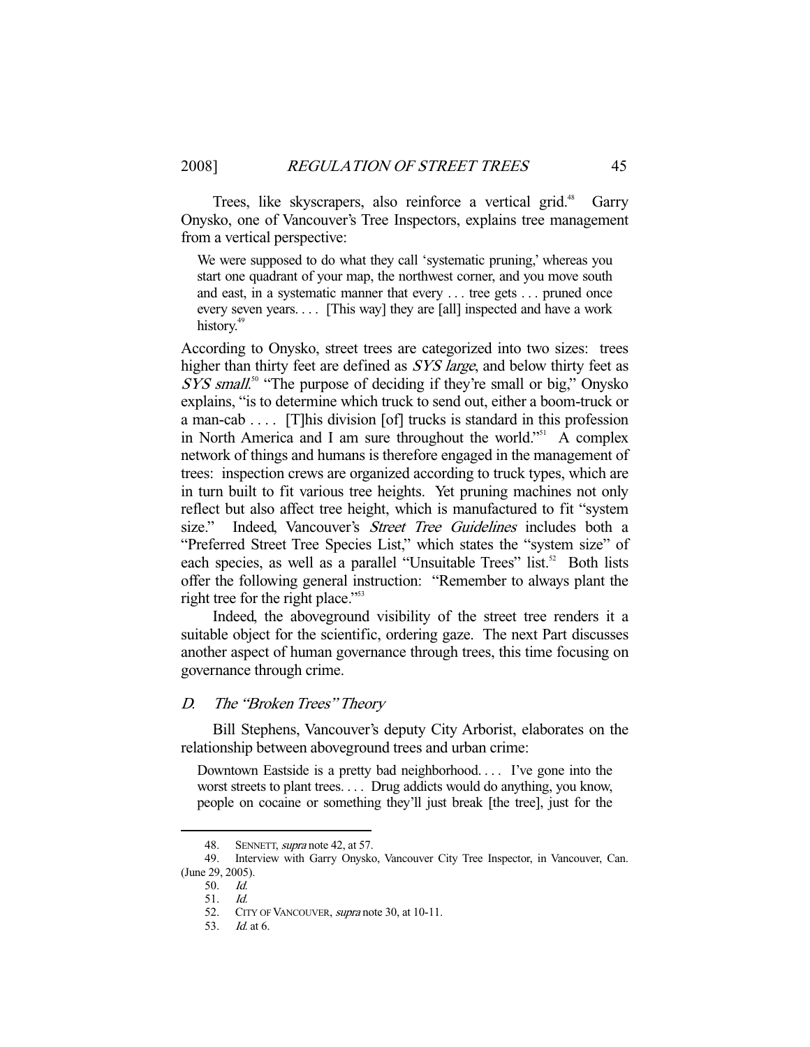Trees, like skyscrapers, also reinforce a vertical grid.<sup>48</sup> Garry Onysko, one of Vancouver's Tree Inspectors, explains tree management from a vertical perspective:

We were supposed to do what they call 'systematic pruning,' whereas you start one quadrant of your map, the northwest corner, and you move south and east, in a systematic manner that every . . . tree gets . . . pruned once every seven years. . . . [This way] they are [all] inspected and have a work history.<sup>49</sup>

According to Onysko, street trees are categorized into two sizes: trees higher than thirty feet are defined as *SYS large*, and below thirty feet as SYS small.<sup>50</sup> "The purpose of deciding if they're small or big," Onysko explains, "is to determine which truck to send out, either a boom-truck or a man-cab . . . . [T]his division [of] trucks is standard in this profession in North America and I am sure throughout the world."<sup>51</sup> A complex network of things and humans is therefore engaged in the management of trees: inspection crews are organized according to truck types, which are in turn built to fit various tree heights. Yet pruning machines not only reflect but also affect tree height, which is manufactured to fit "system size." Indeed, Vancouver's *Street Tree Guidelines* includes both a "Preferred Street Tree Species List," which states the "system size" of each species, as well as a parallel "Unsuitable Trees" list.<sup>52</sup> Both lists offer the following general instruction: "Remember to always plant the right tree for the right place."<sup>53</sup>

 Indeed, the aboveground visibility of the street tree renders it a suitable object for the scientific, ordering gaze. The next Part discusses another aspect of human governance through trees, this time focusing on governance through crime.

#### D. The "Broken Trees" Theory

 Bill Stephens, Vancouver's deputy City Arborist, elaborates on the relationship between aboveground trees and urban crime:

Downtown Eastside is a pretty bad neighborhood. . . . I've gone into the worst streets to plant trees. . . . Drug addicts would do anything, you know, people on cocaine or something they'll just break [the tree], just for the

<sup>48.</sup> SENNETT, *supra* note 42, at 57.

 <sup>49.</sup> Interview with Garry Onysko, Vancouver City Tree Inspector, in Vancouver, Can. (June 29, 2005).

 <sup>50.</sup> Id.

 <sup>51.</sup> Id.

<sup>52.</sup> CITY OF VANCOUVER, *supra* note 30, at 10-11.

 <sup>53.</sup> Id. at 6.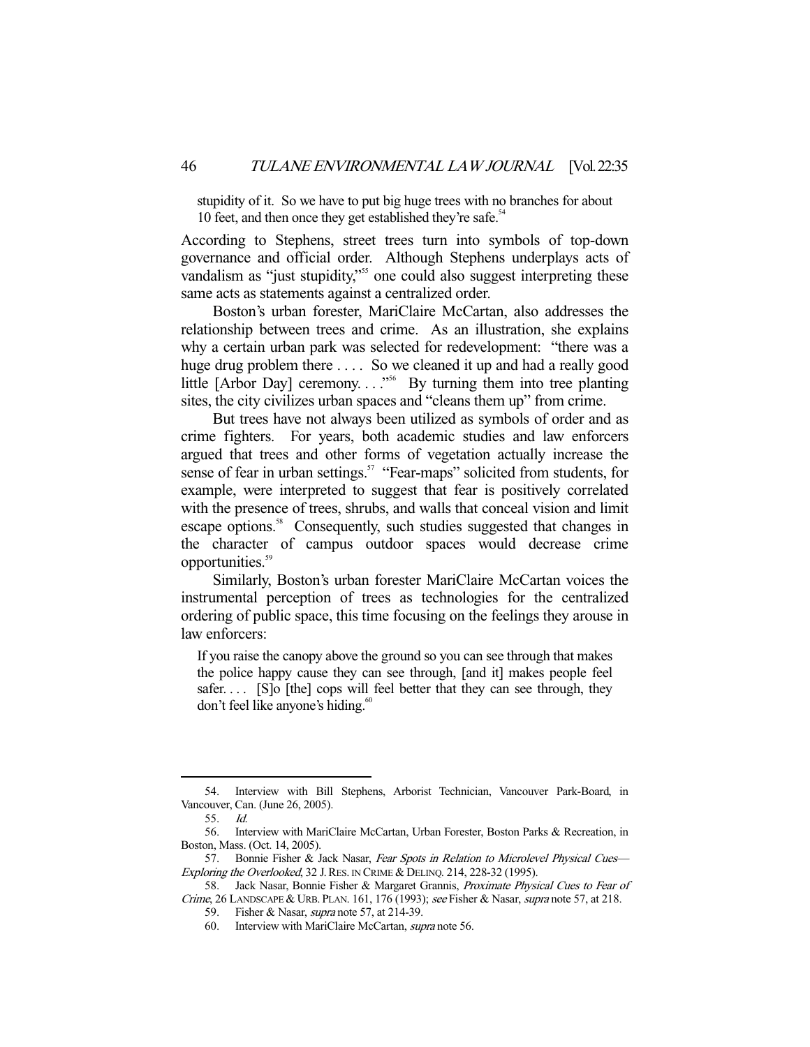stupidity of it. So we have to put big huge trees with no branches for about 10 feet, and then once they get established they're safe.<sup>54</sup>

According to Stephens, street trees turn into symbols of top-down governance and official order. Although Stephens underplays acts of vandalism as "just stupidity,"<sup>55</sup> one could also suggest interpreting these same acts as statements against a centralized order.

 Boston's urban forester, MariClaire McCartan, also addresses the relationship between trees and crime. As an illustration, she explains why a certain urban park was selected for redevelopment: "there was a huge drug problem there .... So we cleaned it up and had a really good little [Arbor Day] ceremony. . . ."56 By turning them into tree planting sites, the city civilizes urban spaces and "cleans them up" from crime.

 But trees have not always been utilized as symbols of order and as crime fighters. For years, both academic studies and law enforcers argued that trees and other forms of vegetation actually increase the sense of fear in urban settings.<sup>57</sup> "Fear-maps" solicited from students, for example, were interpreted to suggest that fear is positively correlated with the presence of trees, shrubs, and walls that conceal vision and limit escape options.<sup>58</sup> Consequently, such studies suggested that changes in the character of campus outdoor spaces would decrease crime opportunities.<sup>59</sup>

 Similarly, Boston's urban forester MariClaire McCartan voices the instrumental perception of trees as technologies for the centralized ordering of public space, this time focusing on the feelings they arouse in law enforcers:

If you raise the canopy above the ground so you can see through that makes the police happy cause they can see through, [and it] makes people feel safer.... [S]o [the] cops will feel better that they can see through, they don't feel like anyone's hiding.<sup>60</sup>

 <sup>54.</sup> Interview with Bill Stephens, Arborist Technician, Vancouver Park-Board, in Vancouver, Can. (June 26, 2005).

 <sup>55.</sup> Id.

 <sup>56.</sup> Interview with MariClaire McCartan, Urban Forester, Boston Parks & Recreation, in Boston, Mass. (Oct. 14, 2005).

<sup>57.</sup> Bonnie Fisher & Jack Nasar, Fear Spots in Relation to Microlevel Physical Cues-Exploring the Overlooked, 32 J. RES. IN CRIME & DELINQ. 214, 228-32 (1995).

 <sup>58.</sup> Jack Nasar, Bonnie Fisher & Margaret Grannis, Proximate Physical Cues to Fear of Crime, 26 LANDSCAPE & URB. PLAN. 161, 176 (1993); see Fisher & Nasar, supra note 57, at 218.

 <sup>59.</sup> Fisher & Nasar, supra note 57, at 214-39.

 <sup>60.</sup> Interview with MariClaire McCartan, supra note 56.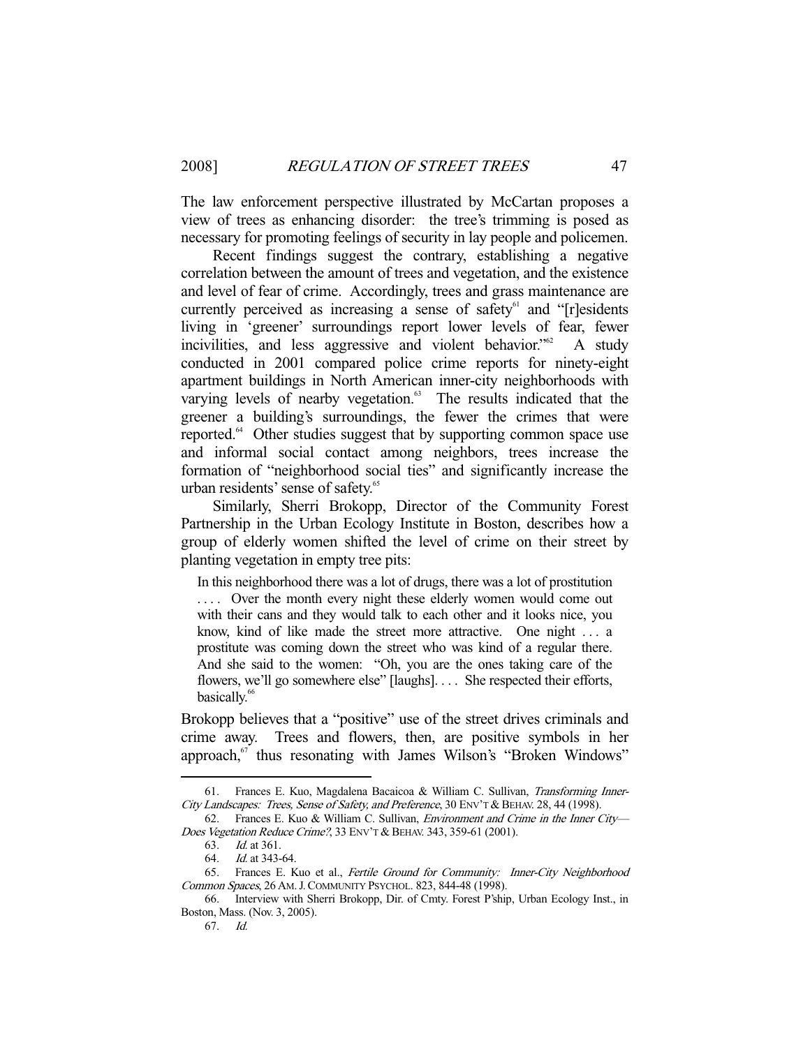The law enforcement perspective illustrated by McCartan proposes a view of trees as enhancing disorder: the tree's trimming is posed as necessary for promoting feelings of security in lay people and policemen.

 Recent findings suggest the contrary, establishing a negative correlation between the amount of trees and vegetation, and the existence and level of fear of crime. Accordingly, trees and grass maintenance are currently perceived as increasing a sense of safety $61$  and "[r]esidents living in 'greener' surroundings report lower levels of fear, fewer incivilities, and less aggressive and violent behavior.<sup> $562$ </sup> A study conducted in 2001 compared police crime reports for ninety-eight apartment buildings in North American inner-city neighborhoods with varying levels of nearby vegetation.<sup>63</sup> The results indicated that the greener a building's surroundings, the fewer the crimes that were reported.<sup>64</sup> Other studies suggest that by supporting common space use and informal social contact among neighbors, trees increase the formation of "neighborhood social ties" and significantly increase the urban residents' sense of safety.<sup>65</sup>

 Similarly, Sherri Brokopp, Director of the Community Forest Partnership in the Urban Ecology Institute in Boston, describes how a group of elderly women shifted the level of crime on their street by planting vegetation in empty tree pits:

In this neighborhood there was a lot of drugs, there was a lot of prostitution .... Over the month every night these elderly women would come out with their cans and they would talk to each other and it looks nice, you know, kind of like made the street more attractive. One night . . . a prostitute was coming down the street who was kind of a regular there. And she said to the women: "Oh, you are the ones taking care of the flowers, we'll go somewhere else" [laughs]. . . . She respected their efforts, basically.<sup>66</sup>

Brokopp believes that a "positive" use of the street drives criminals and crime away. Trees and flowers, then, are positive symbols in her approach,<sup>67</sup> thus resonating with James Wilson's "Broken Windows"

<sup>61.</sup> Frances E. Kuo, Magdalena Bacaicoa & William C. Sullivan, Transforming Inner-City Landscapes: Trees, Sense of Safety, and Preference, 30 ENV'T & BEHAV. 28, 44 (1998).

 <sup>62.</sup> Frances E. Kuo & William C. Sullivan, Environment and Crime in the Inner City— Does Vegetation Reduce Crime?, 33 ENV'T & BEHAV. 343, 359-61 (2001).

 <sup>63.</sup> Id. at 361.

 <sup>64.</sup> Id. at 343-64.

 <sup>65.</sup> Frances E. Kuo et al., Fertile Ground for Community: Inner-City Neighborhood Common Spaces, 26 AM.J.COMMUNITY PSYCHOL. 823, 844-48 (1998).

 <sup>66.</sup> Interview with Sherri Brokopp, Dir. of Cmty. Forest P'ship, Urban Ecology Inst., in Boston, Mass. (Nov. 3, 2005).

 <sup>67.</sup> Id.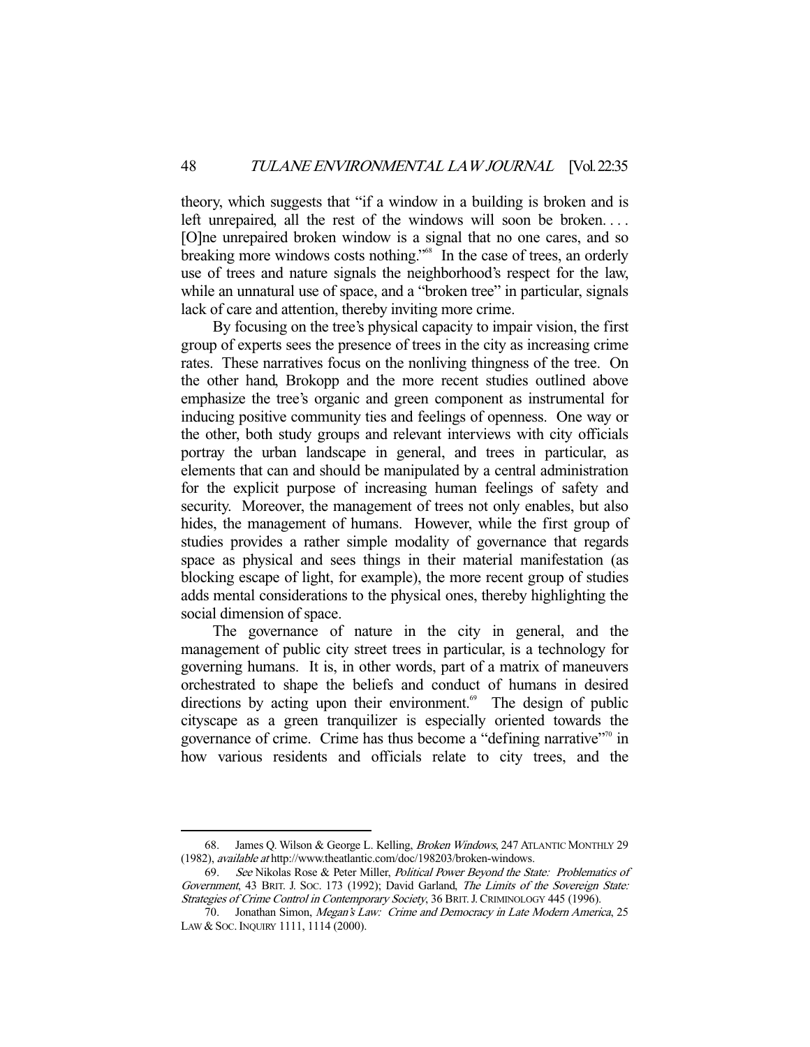theory, which suggests that "if a window in a building is broken and is left unrepaired, all the rest of the windows will soon be broken.... [O]ne unrepaired broken window is a signal that no one cares, and so breaking more windows costs nothing."<sup>68</sup> In the case of trees, an orderly use of trees and nature signals the neighborhood's respect for the law, while an unnatural use of space, and a "broken tree" in particular, signals lack of care and attention, thereby inviting more crime.

 By focusing on the tree's physical capacity to impair vision, the first group of experts sees the presence of trees in the city as increasing crime rates. These narratives focus on the nonliving thingness of the tree. On the other hand, Brokopp and the more recent studies outlined above emphasize the tree's organic and green component as instrumental for inducing positive community ties and feelings of openness. One way or the other, both study groups and relevant interviews with city officials portray the urban landscape in general, and trees in particular, as elements that can and should be manipulated by a central administration for the explicit purpose of increasing human feelings of safety and security. Moreover, the management of trees not only enables, but also hides, the management of humans. However, while the first group of studies provides a rather simple modality of governance that regards space as physical and sees things in their material manifestation (as blocking escape of light, for example), the more recent group of studies adds mental considerations to the physical ones, thereby highlighting the social dimension of space.

 The governance of nature in the city in general, and the management of public city street trees in particular, is a technology for governing humans. It is, in other words, part of a matrix of maneuvers orchestrated to shape the beliefs and conduct of humans in desired directions by acting upon their environment.<sup>69</sup> The design of public cityscape as a green tranquilizer is especially oriented towards the governance of crime. Crime has thus become a "defining narrative"70 in how various residents and officials relate to city trees, and the

<sup>68.</sup> James Q. Wilson & George L. Kelling, Broken Windows, 247 ATLANTIC MONTHLY 29 (1982), available at http://www.theatlantic.com/doc/198203/broken-windows.

 <sup>69.</sup> See Nikolas Rose & Peter Miller, Political Power Beyond the State: Problematics of Government, 43 BRIT. J. Soc. 173 (1992); David Garland, The Limits of the Sovereign State: Strategies of Crime Control in Contemporary Society, 36 BRIT. J. CRIMINOLOGY 445 (1996).

 <sup>70.</sup> Jonathan Simon, Megan's Law: Crime and Democracy in Late Modern America, 25 LAW & Soc. INQUIRY 1111, 1114 (2000).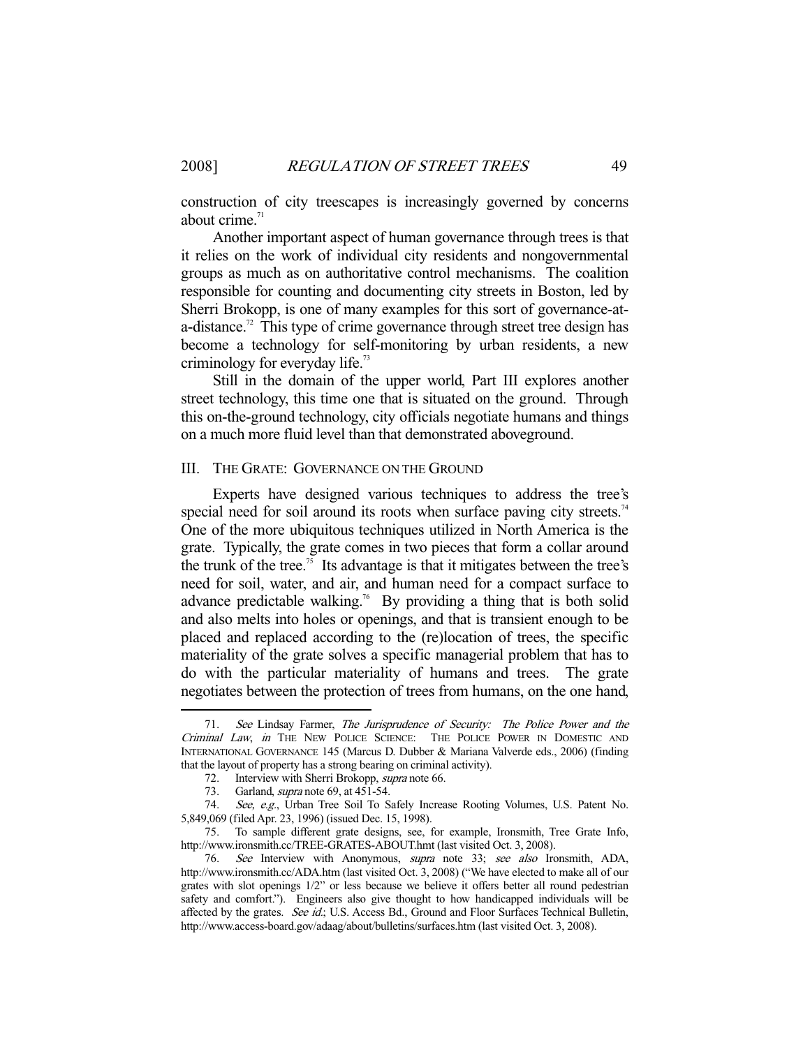construction of city treescapes is increasingly governed by concerns about crime.<sup>71</sup>

 Another important aspect of human governance through trees is that it relies on the work of individual city residents and nongovernmental groups as much as on authoritative control mechanisms. The coalition responsible for counting and documenting city streets in Boston, led by Sherri Brokopp, is one of many examples for this sort of governance-ata-distance.<sup>72</sup> This type of crime governance through street tree design has become a technology for self-monitoring by urban residents, a new criminology for everyday life.<sup>73</sup>

 Still in the domain of the upper world, Part III explores another street technology, this time one that is situated on the ground. Through this on-the-ground technology, city officials negotiate humans and things on a much more fluid level than that demonstrated aboveground.

#### III. THE GRATE: GOVERNANCE ON THE GROUND

 Experts have designed various techniques to address the tree's special need for soil around its roots when surface paving city streets.<sup>74</sup> One of the more ubiquitous techniques utilized in North America is the grate. Typically, the grate comes in two pieces that form a collar around the trunk of the tree.<sup>75</sup> Its advantage is that it mitigates between the tree's need for soil, water, and air, and human need for a compact surface to advance predictable walking.<sup>76</sup> By providing a thing that is both solid and also melts into holes or openings, and that is transient enough to be placed and replaced according to the (re)location of trees, the specific materiality of the grate solves a specific managerial problem that has to do with the particular materiality of humans and trees. The grate negotiates between the protection of trees from humans, on the one hand,

See Lindsay Farmer, The Jurisprudence of Security: The Police Power and the Criminal Law, in THE NEW POLICE SCIENCE: THE POLICE POWER IN DOMESTIC AND INTERNATIONAL GOVERNANCE 145 (Marcus D. Dubber & Mariana Valverde eds., 2006) (finding that the layout of property has a strong bearing on criminal activity).

 <sup>72.</sup> Interview with Sherri Brokopp, supra note 66.

<sup>73.</sup> Garland, *supra* note 69, at 451-54.

<sup>74.</sup> See, e.g., Urban Tree Soil To Safely Increase Rooting Volumes, U.S. Patent No. 5,849,069 (filed Apr. 23, 1996) (issued Dec. 15, 1998).

 <sup>75.</sup> To sample different grate designs, see, for example, Ironsmith, Tree Grate Info, http://www.ironsmith.cc/TREE-GRATES-ABOUT.hmt (last visited Oct. 3, 2008).

 <sup>76.</sup> See Interview with Anonymous, supra note 33; see also Ironsmith, ADA, http://www.ironsmith.cc/ADA.htm (last visited Oct. 3, 2008) ("We have elected to make all of our grates with slot openings 1/2" or less because we believe it offers better all round pedestrian safety and comfort."). Engineers also give thought to how handicapped individuals will be affected by the grates. See id.; U.S. Access Bd., Ground and Floor Surfaces Technical Bulletin, http://www.access-board.gov/adaag/about/bulletins/surfaces.htm (last visited Oct. 3, 2008).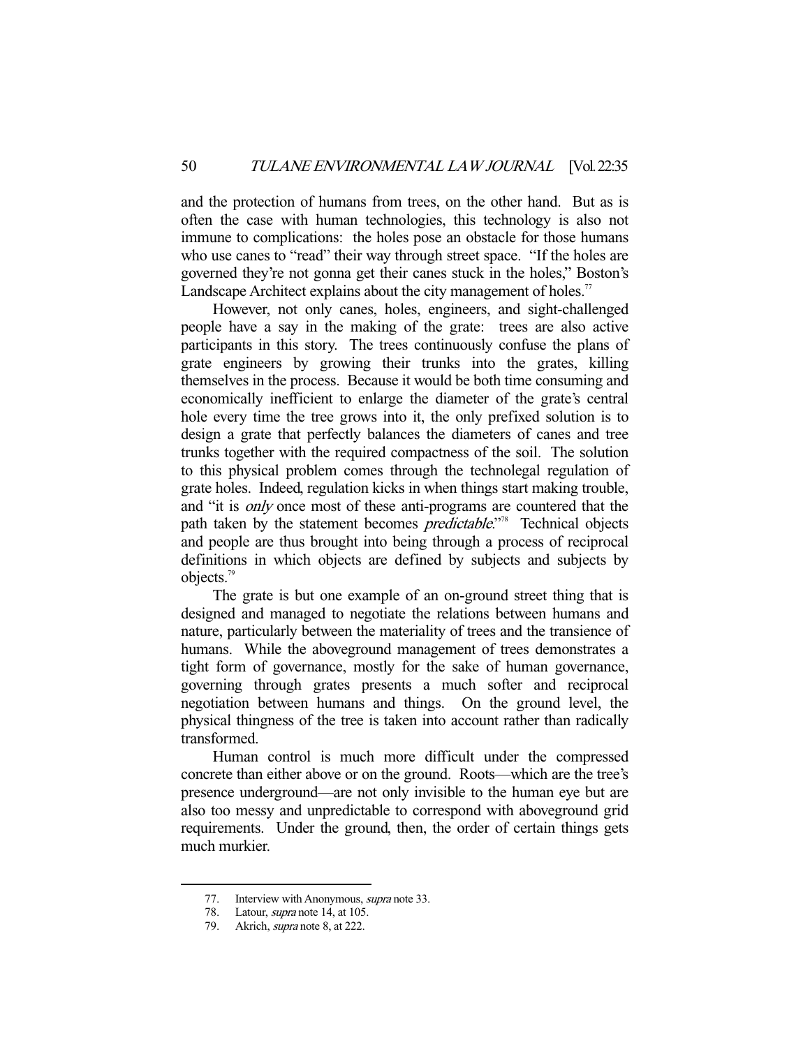and the protection of humans from trees, on the other hand. But as is often the case with human technologies, this technology is also not immune to complications: the holes pose an obstacle for those humans who use canes to "read" their way through street space. "If the holes are governed they're not gonna get their canes stuck in the holes," Boston's Landscape Architect explains about the city management of holes.<sup>77</sup>

 However, not only canes, holes, engineers, and sight-challenged people have a say in the making of the grate: trees are also active participants in this story. The trees continuously confuse the plans of grate engineers by growing their trunks into the grates, killing themselves in the process. Because it would be both time consuming and economically inefficient to enlarge the diameter of the grate's central hole every time the tree grows into it, the only prefixed solution is to design a grate that perfectly balances the diameters of canes and tree trunks together with the required compactness of the soil. The solution to this physical problem comes through the technolegal regulation of grate holes. Indeed, regulation kicks in when things start making trouble, and "it is only once most of these anti-programs are countered that the path taken by the statement becomes *predictable*."<sup>8</sup> Technical objects and people are thus brought into being through a process of reciprocal definitions in which objects are defined by subjects and subjects by objects.79

 The grate is but one example of an on-ground street thing that is designed and managed to negotiate the relations between humans and nature, particularly between the materiality of trees and the transience of humans. While the aboveground management of trees demonstrates a tight form of governance, mostly for the sake of human governance, governing through grates presents a much softer and reciprocal negotiation between humans and things. On the ground level, the physical thingness of the tree is taken into account rather than radically transformed.

 Human control is much more difficult under the compressed concrete than either above or on the ground. Roots—which are the tree's presence underground—are not only invisible to the human eye but are also too messy and unpredictable to correspond with aboveground grid requirements. Under the ground, then, the order of certain things gets much murkier.

<sup>77.</sup> Interview with Anonymous, *supra* note 33.

<sup>78.</sup> Latour, *supra* note 14, at 105.

 <sup>79.</sup> Akrich, supra note 8, at 222.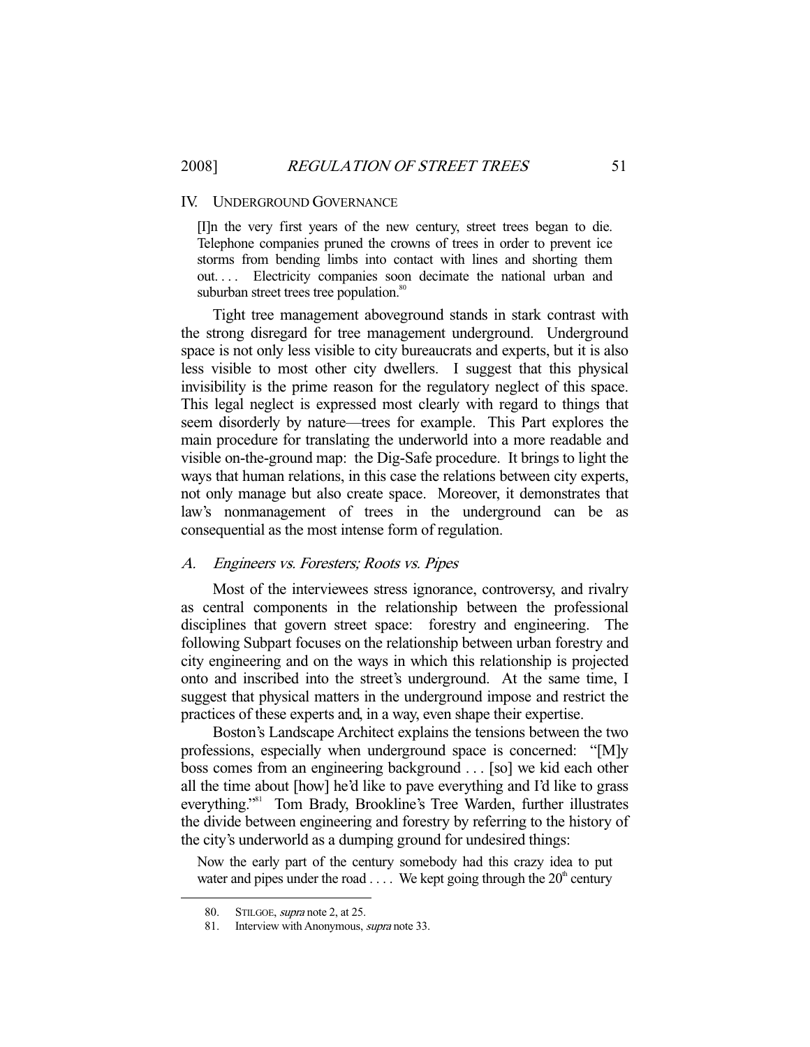#### IV. UNDERGROUND GOVERNANCE

[I]n the very first years of the new century, street trees began to die. Telephone companies pruned the crowns of trees in order to prevent ice storms from bending limbs into contact with lines and shorting them out.... Electricity companies soon decimate the national urban and suburban street trees tree population.<sup>80</sup>

 Tight tree management aboveground stands in stark contrast with the strong disregard for tree management underground. Underground space is not only less visible to city bureaucrats and experts, but it is also less visible to most other city dwellers. I suggest that this physical invisibility is the prime reason for the regulatory neglect of this space. This legal neglect is expressed most clearly with regard to things that seem disorderly by nature—trees for example. This Part explores the main procedure for translating the underworld into a more readable and visible on-the-ground map: the Dig-Safe procedure. It brings to light the ways that human relations, in this case the relations between city experts, not only manage but also create space. Moreover, it demonstrates that law's nonmanagement of trees in the underground can be as consequential as the most intense form of regulation.

## A. Engineers vs. Foresters; Roots vs. Pipes

 Most of the interviewees stress ignorance, controversy, and rivalry as central components in the relationship between the professional disciplines that govern street space: forestry and engineering. The following Subpart focuses on the relationship between urban forestry and city engineering and on the ways in which this relationship is projected onto and inscribed into the street's underground. At the same time, I suggest that physical matters in the underground impose and restrict the practices of these experts and, in a way, even shape their expertise.

 Boston's Landscape Architect explains the tensions between the two professions, especially when underground space is concerned: "[M]y boss comes from an engineering background . . . [so] we kid each other all the time about [how] he'd like to pave everything and I'd like to grass everything."81 Tom Brady, Brookline's Tree Warden, further illustrates the divide between engineering and forestry by referring to the history of the city's underworld as a dumping ground for undesired things:

Now the early part of the century somebody had this crazy idea to put water and pipes under the road  $\dots$ . We kept going through the  $20<sup>th</sup>$  century

<sup>80.</sup> STILGOE, *supra* note 2, at 25.

<sup>81.</sup> Interview with Anonymous, *supra* note 33.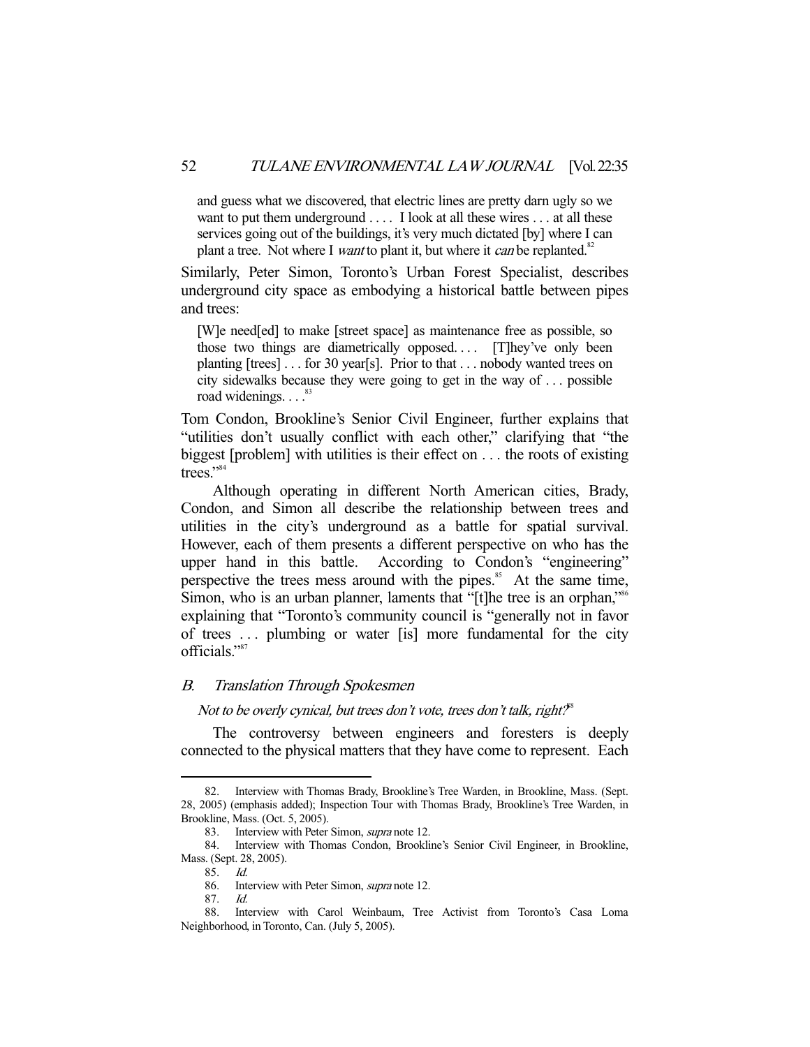and guess what we discovered, that electric lines are pretty darn ugly so we want to put them underground . . . . I look at all these wires . . . at all these services going out of the buildings, it's very much dictated [by] where I can plant a tree. Not where I *want* to plant it, but where it *can* be replanted.<sup>82</sup>

Similarly, Peter Simon, Toronto's Urban Forest Specialist, describes underground city space as embodying a historical battle between pipes and trees:

[W]e need[ed] to make [street space] as maintenance free as possible, so those two things are diametrically opposed.... [T]hey've only been planting [trees] . . . for 30 year[s]. Prior to that . . . nobody wanted trees on city sidewalks because they were going to get in the way of . . . possible road widenings.  $\ldots$ .<sup>83</sup>

Tom Condon, Brookline's Senior Civil Engineer, further explains that "utilities don't usually conflict with each other," clarifying that "the biggest [problem] with utilities is their effect on . . . the roots of existing trees."<sup>84</sup>

 Although operating in different North American cities, Brady, Condon, and Simon all describe the relationship between trees and utilities in the city's underground as a battle for spatial survival. However, each of them presents a different perspective on who has the upper hand in this battle. According to Condon's "engineering" perspective the trees mess around with the pipes.<sup>85</sup> At the same time, Simon, who is an urban planner, laments that "[t]he tree is an orphan,"<sup>86</sup> explaining that "Toronto's community council is "generally not in favor of trees . . . plumbing or water [is] more fundamental for the city officials."87

## B. Translation Through Spokesmen

Not to be overly cynical, but trees don't vote, trees don't talk, right?<sup>8</sup>

 The controversy between engineers and foresters is deeply connected to the physical matters that they have come to represent. Each

 <sup>82.</sup> Interview with Thomas Brady, Brookline's Tree Warden, in Brookline, Mass. (Sept. 28, 2005) (emphasis added); Inspection Tour with Thomas Brady, Brookline's Tree Warden, in Brookline, Mass. (Oct. 5, 2005).

<sup>83.</sup> Interview with Peter Simon, *supra* note 12.

 <sup>84.</sup> Interview with Thomas Condon, Brookline's Senior Civil Engineer, in Brookline, Mass. (Sept. 28, 2005).

 <sup>85.</sup> Id.

 <sup>86.</sup> Interview with Peter Simon, supra note 12.

 <sup>87.</sup> Id.

 <sup>88.</sup> Interview with Carol Weinbaum, Tree Activist from Toronto's Casa Loma Neighborhood, in Toronto, Can. (July 5, 2005).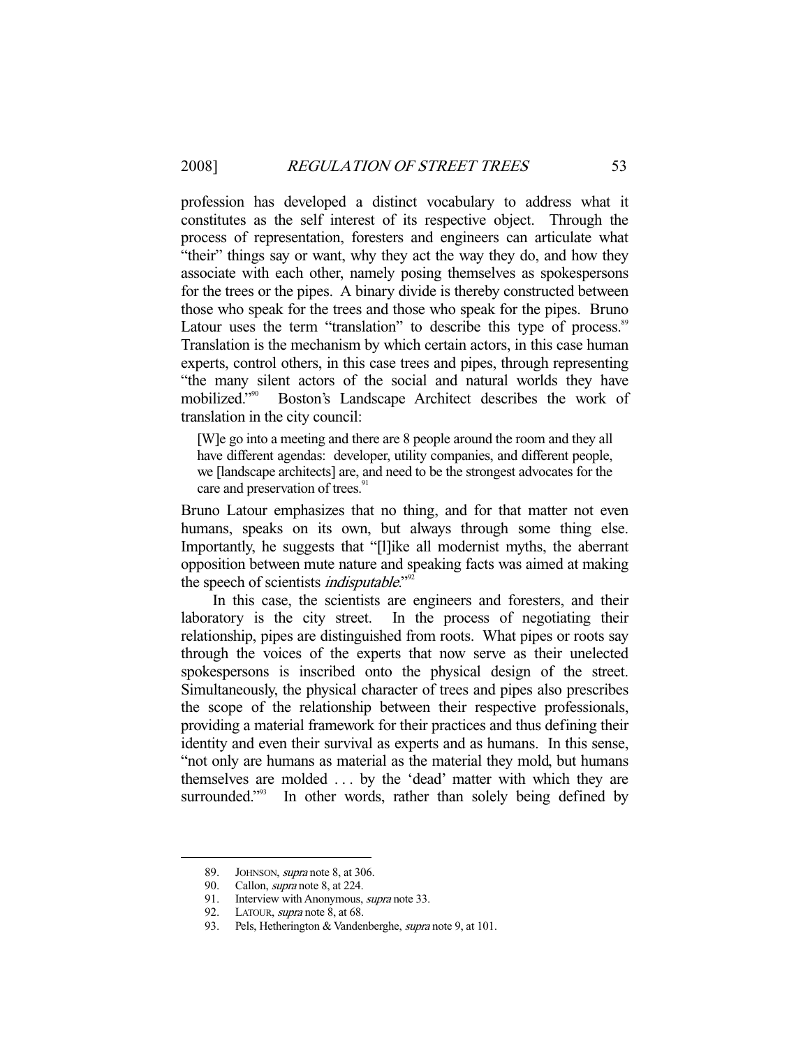profession has developed a distinct vocabulary to address what it constitutes as the self interest of its respective object. Through the process of representation, foresters and engineers can articulate what "their" things say or want, why they act the way they do, and how they associate with each other, namely posing themselves as spokespersons for the trees or the pipes. A binary divide is thereby constructed between those who speak for the trees and those who speak for the pipes. Bruno Latour uses the term "translation" to describe this type of process.<sup>89</sup> Translation is the mechanism by which certain actors, in this case human experts, control others, in this case trees and pipes, through representing "the many silent actors of the social and natural worlds they have mobilized."90 Boston's Landscape Architect describes the work of translation in the city council:

[W]e go into a meeting and there are 8 people around the room and they all have different agendas: developer, utility companies, and different people, we [landscape architects] are, and need to be the strongest advocates for the care and preservation of trees.<sup>91</sup>

Bruno Latour emphasizes that no thing, and for that matter not even humans, speaks on its own, but always through some thing else. Importantly, he suggests that "[l]ike all modernist myths, the aberrant opposition between mute nature and speaking facts was aimed at making the speech of scientists *indisputable*."<sup>92</sup>

 In this case, the scientists are engineers and foresters, and their laboratory is the city street. In the process of negotiating their relationship, pipes are distinguished from roots. What pipes or roots say through the voices of the experts that now serve as their unelected spokespersons is inscribed onto the physical design of the street. Simultaneously, the physical character of trees and pipes also prescribes the scope of the relationship between their respective professionals, providing a material framework for their practices and thus defining their identity and even their survival as experts and as humans. In this sense, "not only are humans as material as the material they mold, but humans themselves are molded . . . by the 'dead' matter with which they are surrounded."<sup>93</sup> In other words, rather than solely being defined by

<sup>89.</sup> JOHNSON, *supra* note 8, at 306.<br>90. Callon, *supra* note 8, at 224.

Callon, *supra* note 8, at 224.

<sup>91.</sup> Interview with Anonymous, *supra* note 33.

<sup>92.</sup> LATOUR, *supra* note 8, at 68.

<sup>93.</sup> Pels, Hetherington & Vandenberghe, supra note 9, at 101.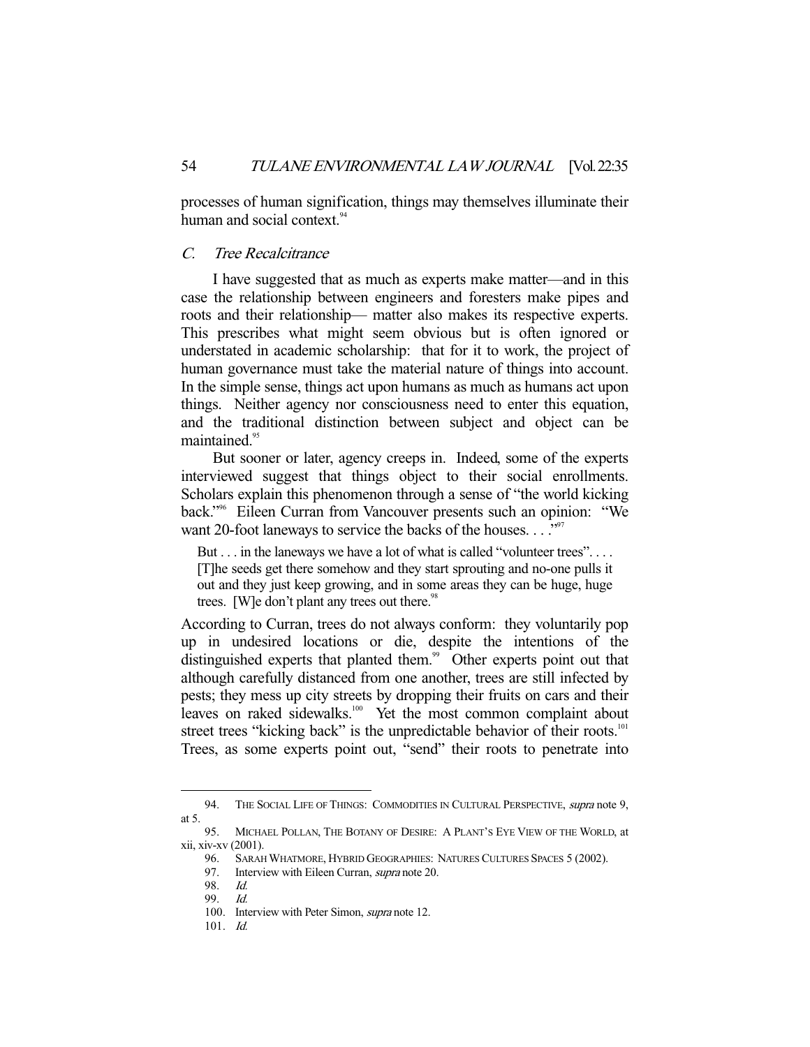processes of human signification, things may themselves illuminate their human and social context.<sup>94</sup>

## C. Tree Recalcitrance

 I have suggested that as much as experts make matter—and in this case the relationship between engineers and foresters make pipes and roots and their relationship— matter also makes its respective experts. This prescribes what might seem obvious but is often ignored or understated in academic scholarship: that for it to work, the project of human governance must take the material nature of things into account. In the simple sense, things act upon humans as much as humans act upon things. Neither agency nor consciousness need to enter this equation, and the traditional distinction between subject and object can be maintained<sup>95</sup>

 But sooner or later, agency creeps in. Indeed, some of the experts interviewed suggest that things object to their social enrollments. Scholars explain this phenomenon through a sense of "the world kicking back."96 Eileen Curran from Vancouver presents such an opinion: "We want 20-foot laneways to service the backs of the houses. . . . "<sup>97</sup>

But . . . in the laneways we have a lot of what is called "volunteer trees". . . . [T]he seeds get there somehow and they start sprouting and no-one pulls it out and they just keep growing, and in some areas they can be huge, huge trees. [W]e don't plant any trees out there. $98$ 

According to Curran, trees do not always conform: they voluntarily pop up in undesired locations or die, despite the intentions of the distinguished experts that planted them.<sup>99</sup> Other experts point out that although carefully distanced from one another, trees are still infected by pests; they mess up city streets by dropping their fruits on cars and their leaves on raked sidewalks.<sup>100</sup> Yet the most common complaint about street trees "kicking back" is the unpredictable behavior of their roots.<sup>101</sup> Trees, as some experts point out, "send" their roots to penetrate into

<sup>94.</sup> THE SOCIAL LIFE OF THINGS: COMMODITIES IN CULTURAL PERSPECTIVE, supra note 9, at 5.

 <sup>95.</sup> MICHAEL POLLAN, THE BOTANY OF DESIRE: A PLANT'S EYE VIEW OF THE WORLD, at xii, xiv-xv (2001).

 <sup>96.</sup> SARAH WHATMORE, HYBRID GEOGRAPHIES: NATURES CULTURES SPACES 5 (2002).

<sup>97.</sup> Interview with Eileen Curran, *supra* note 20.

 <sup>98.</sup> Id.

 <sup>99.</sup> Id.

 <sup>100.</sup> Interview with Peter Simon, supra note 12.

 $101.$  Id.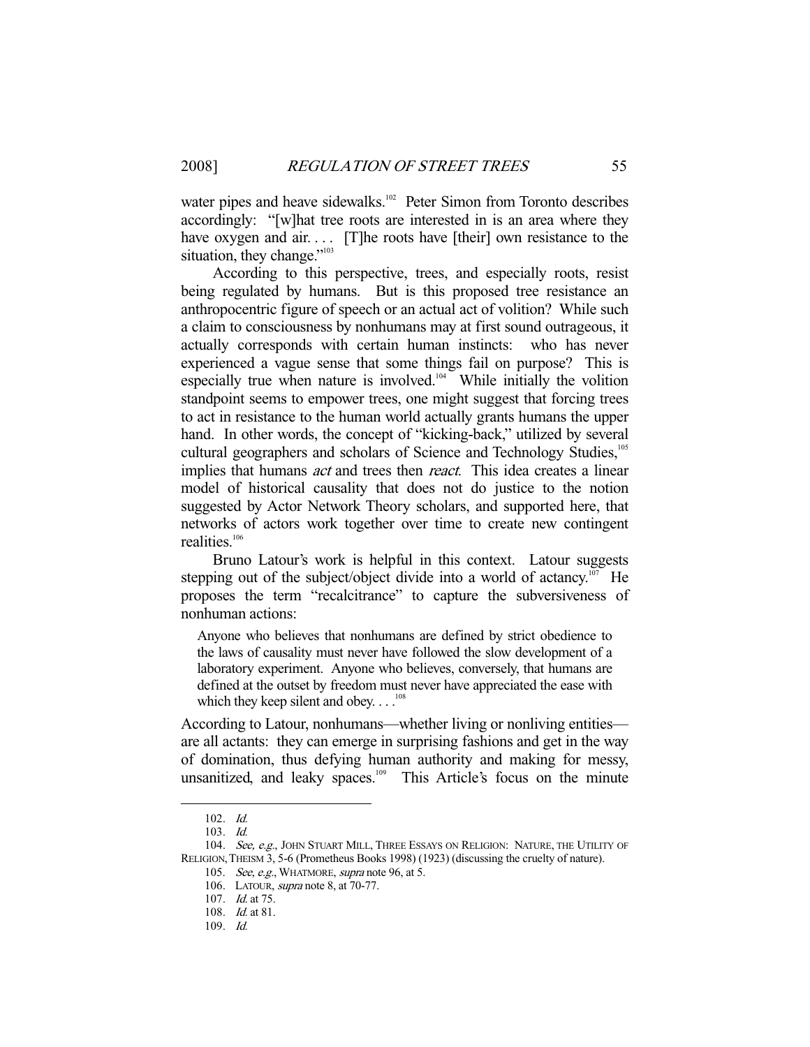water pipes and heave sidewalks.<sup>102</sup> Peter Simon from Toronto describes accordingly: "[w]hat tree roots are interested in is an area where they have oxygen and air.... [T]he roots have [their] own resistance to the situation, they change."<sup>103</sup>

 According to this perspective, trees, and especially roots, resist being regulated by humans. But is this proposed tree resistance an anthropocentric figure of speech or an actual act of volition? While such a claim to consciousness by nonhumans may at first sound outrageous, it actually corresponds with certain human instincts: who has never experienced a vague sense that some things fail on purpose? This is especially true when nature is involved.<sup>104</sup> While initially the volition standpoint seems to empower trees, one might suggest that forcing trees to act in resistance to the human world actually grants humans the upper hand. In other words, the concept of "kicking-back," utilized by several cultural geographers and scholars of Science and Technology Studies,<sup>105</sup> implies that humans *act* and trees then *react*. This idea creates a linear model of historical causality that does not do justice to the notion suggested by Actor Network Theory scholars, and supported here, that networks of actors work together over time to create new contingent realities.106

 Bruno Latour's work is helpful in this context. Latour suggests stepping out of the subject/object divide into a world of actancy.<sup>107</sup> He proposes the term "recalcitrance" to capture the subversiveness of nonhuman actions:

Anyone who believes that nonhumans are defined by strict obedience to the laws of causality must never have followed the slow development of a laboratory experiment. Anyone who believes, conversely, that humans are defined at the outset by freedom must never have appreciated the ease with which they keep silent and obey.  $\dots$ <sup>108</sup>

According to Latour, nonhumans—whether living or nonliving entities are all actants: they can emerge in surprising fashions and get in the way of domination, thus defying human authority and making for messy, unsanitized, and leaky spaces.<sup>109</sup> This Article's focus on the minute

 <sup>102.</sup> Id.

 <sup>103.</sup> Id.

<sup>104.</sup> See, e.g., JOHN STUART MILL, THREE ESSAYS ON RELIGION: NATURE, THE UTILITY OF RELIGION,THEISM 3, 5-6 (Prometheus Books 1998) (1923) (discussing the cruelty of nature).

 <sup>105.</sup> See, e.g., WHATMORE, supra note 96, at 5.

 <sup>106.</sup> LATOUR, supra note 8, at 70-77.

 <sup>107.</sup> Id. at 75.

 <sup>108.</sup> Id. at 81.

 <sup>109.</sup> Id.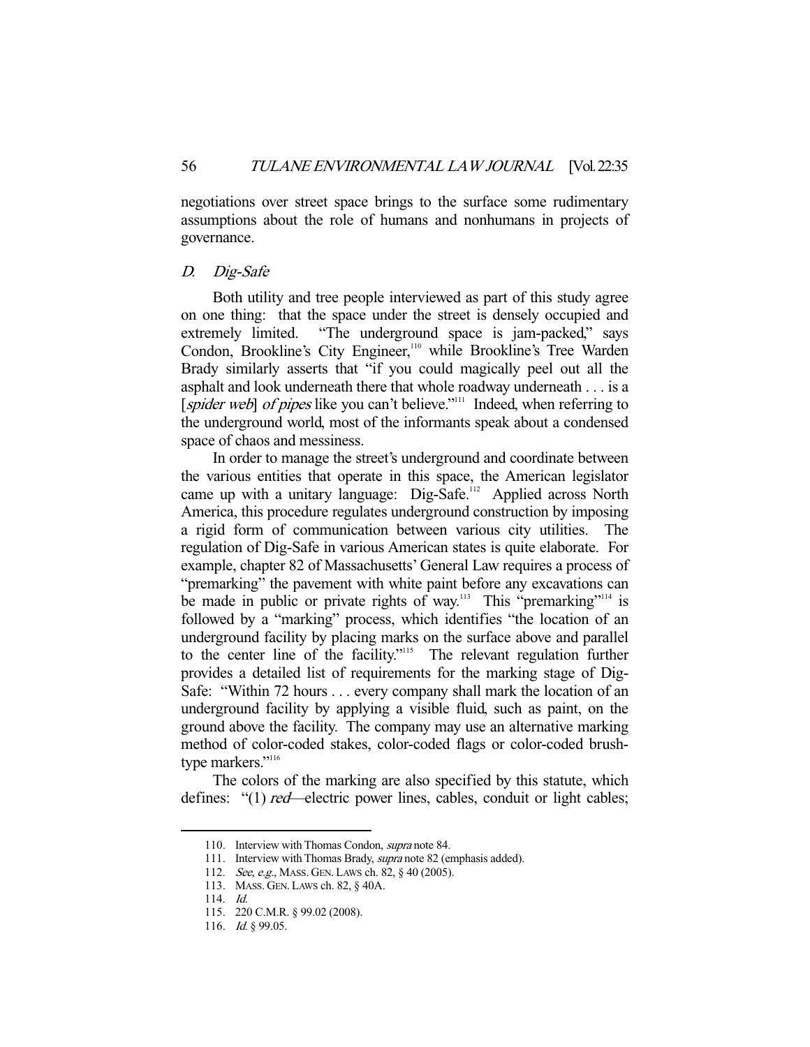negotiations over street space brings to the surface some rudimentary assumptions about the role of humans and nonhumans in projects of governance.

#### D. Dig-Safe

 Both utility and tree people interviewed as part of this study agree on one thing: that the space under the street is densely occupied and extremely limited. "The underground space is jam-packed," says Condon, Brookline's City Engineer,<sup>110</sup> while Brookline's Tree Warden Brady similarly asserts that "if you could magically peel out all the asphalt and look underneath there that whole roadway underneath . . . is a [spider web] of pipes like you can't believe."<sup>111</sup> Indeed, when referring to the underground world, most of the informants speak about a condensed space of chaos and messiness.

 In order to manage the street's underground and coordinate between the various entities that operate in this space, the American legislator came up with a unitary language: Dig-Safe.<sup>112</sup> Applied across North America, this procedure regulates underground construction by imposing a rigid form of communication between various city utilities. The regulation of Dig-Safe in various American states is quite elaborate. For example, chapter 82 of Massachusetts' General Law requires a process of "premarking" the pavement with white paint before any excavations can be made in public or private rights of way.<sup>113</sup> This "premarking"<sup>114</sup> is followed by a "marking" process, which identifies "the location of an underground facility by placing marks on the surface above and parallel to the center line of the facility."115 The relevant regulation further provides a detailed list of requirements for the marking stage of Dig-Safe: "Within 72 hours . . . every company shall mark the location of an underground facility by applying a visible fluid, such as paint, on the ground above the facility. The company may use an alternative marking method of color-coded stakes, color-coded flags or color-coded brushtype markers."<sup>116</sup>

 The colors of the marking are also specified by this statute, which defines: "(1) *red*—electric power lines, cables, conduit or light cables;

<sup>110.</sup> Interview with Thomas Condon, *supra* note 84.

<sup>111.</sup> Interview with Thomas Brady, supra note 82 (emphasis added).

 <sup>112.</sup> See, e.g., MASS. GEN. LAWS ch. 82, § 40 (2005).

 <sup>113.</sup> MASS. GEN. LAWS ch. 82, § 40A.

 <sup>114.</sup> Id.

 <sup>115. 220</sup> C.M.R. § 99.02 (2008).

<sup>116.</sup> *Id.* § 99.05.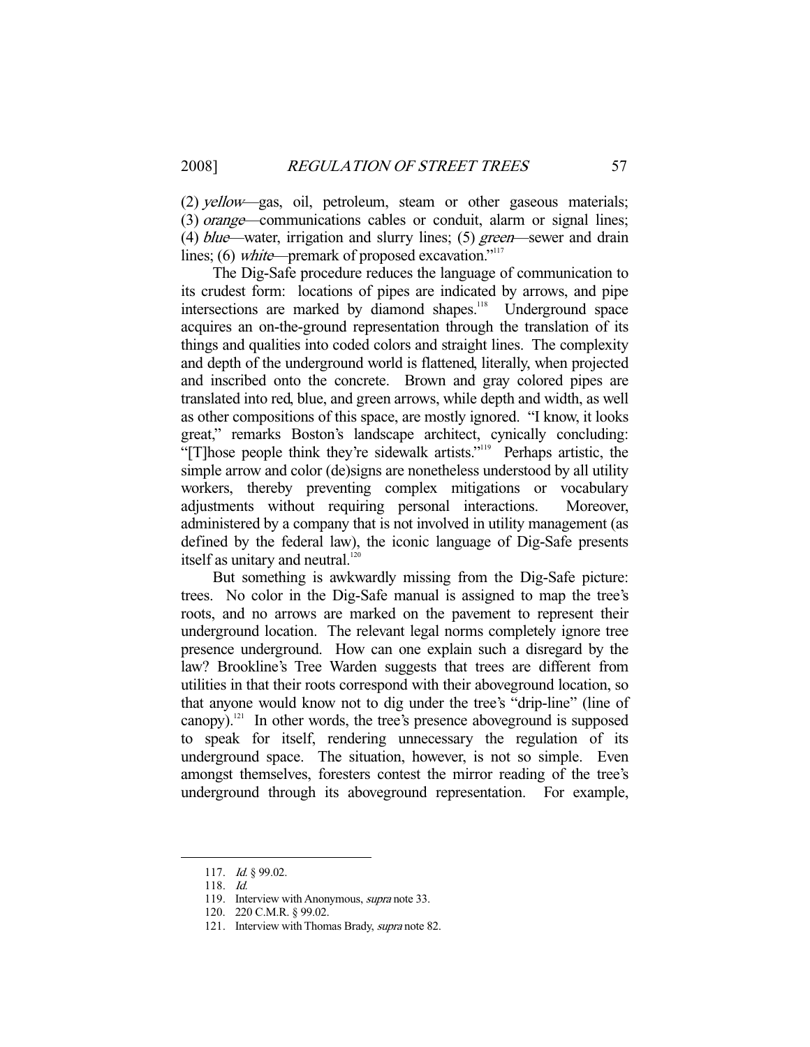(2) yellow—gas, oil, petroleum, steam or other gaseous materials; (3) orange—communications cables or conduit, alarm or signal lines; (4) blue—water, irrigation and slurry lines; (5) green—sewer and drain lines; (6) white—premark of proposed excavation."<sup>117</sup>

 The Dig-Safe procedure reduces the language of communication to its crudest form: locations of pipes are indicated by arrows, and pipe intersections are marked by diamond shapes.<sup>118</sup> Underground space acquires an on-the-ground representation through the translation of its things and qualities into coded colors and straight lines. The complexity and depth of the underground world is flattened, literally, when projected and inscribed onto the concrete. Brown and gray colored pipes are translated into red, blue, and green arrows, while depth and width, as well as other compositions of this space, are mostly ignored. "I know, it looks great," remarks Boston's landscape architect, cynically concluding: "[T]hose people think they're sidewalk artists."<sup>119</sup> Perhaps artistic, the simple arrow and color (de)signs are nonetheless understood by all utility workers, thereby preventing complex mitigations or vocabulary adjustments without requiring personal interactions. Moreover, administered by a company that is not involved in utility management (as defined by the federal law), the iconic language of Dig-Safe presents itself as unitary and neutral.<sup>120</sup>

 But something is awkwardly missing from the Dig-Safe picture: trees. No color in the Dig-Safe manual is assigned to map the tree's roots, and no arrows are marked on the pavement to represent their underground location. The relevant legal norms completely ignore tree presence underground. How can one explain such a disregard by the law? Brookline's Tree Warden suggests that trees are different from utilities in that their roots correspond with their aboveground location, so that anyone would know not to dig under the tree's "drip-line" (line of canopy).<sup>121</sup> In other words, the tree's presence aboveground is supposed to speak for itself, rendering unnecessary the regulation of its underground space. The situation, however, is not so simple. Even amongst themselves, foresters contest the mirror reading of the tree's underground through its aboveground representation. For example,

 <sup>117.</sup> Id. § 99.02.

 <sup>118.</sup> Id.

<sup>119.</sup> Interview with Anonymous, *supra* note 33.

 <sup>120. 220</sup> C.M.R. § 99.02.

 <sup>121.</sup> Interview with Thomas Brady, supra note 82.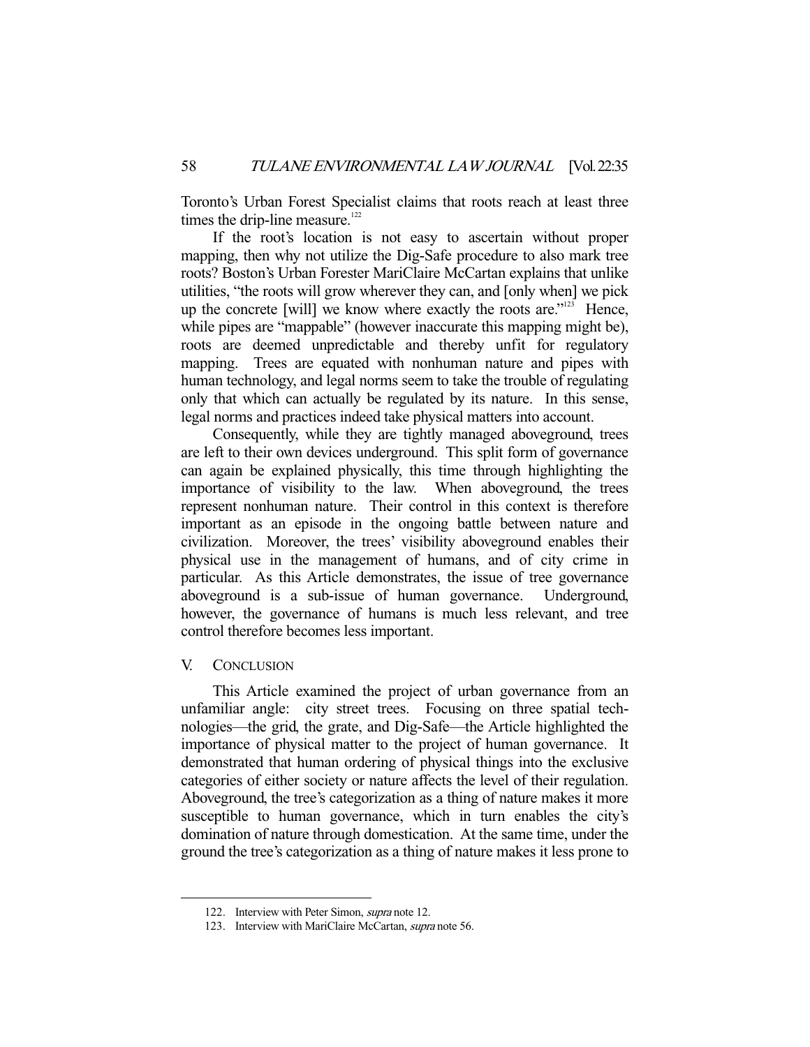Toronto's Urban Forest Specialist claims that roots reach at least three times the drip-line measure.<sup>122</sup>

 If the root's location is not easy to ascertain without proper mapping, then why not utilize the Dig-Safe procedure to also mark tree roots? Boston's Urban Forester MariClaire McCartan explains that unlike utilities, "the roots will grow wherever they can, and [only when] we pick up the concrete [will] we know where exactly the roots are."123 Hence, while pipes are "mappable" (however inaccurate this mapping might be), roots are deemed unpredictable and thereby unfit for regulatory mapping. Trees are equated with nonhuman nature and pipes with human technology, and legal norms seem to take the trouble of regulating only that which can actually be regulated by its nature. In this sense, legal norms and practices indeed take physical matters into account.

 Consequently, while they are tightly managed aboveground, trees are left to their own devices underground. This split form of governance can again be explained physically, this time through highlighting the importance of visibility to the law. When aboveground, the trees represent nonhuman nature. Their control in this context is therefore important as an episode in the ongoing battle between nature and civilization. Moreover, the trees' visibility aboveground enables their physical use in the management of humans, and of city crime in particular. As this Article demonstrates, the issue of tree governance aboveground is a sub-issue of human governance. Underground, however, the governance of humans is much less relevant, and tree control therefore becomes less important.

## V. CONCLUSION

-

 This Article examined the project of urban governance from an unfamiliar angle: city street trees. Focusing on three spatial technologies—the grid, the grate, and Dig-Safe—the Article highlighted the importance of physical matter to the project of human governance. It demonstrated that human ordering of physical things into the exclusive categories of either society or nature affects the level of their regulation. Aboveground, the tree's categorization as a thing of nature makes it more susceptible to human governance, which in turn enables the city's domination of nature through domestication. At the same time, under the ground the tree's categorization as a thing of nature makes it less prone to

 <sup>122.</sup> Interview with Peter Simon, supra note 12.

<sup>123.</sup> Interview with MariClaire McCartan, supra note 56.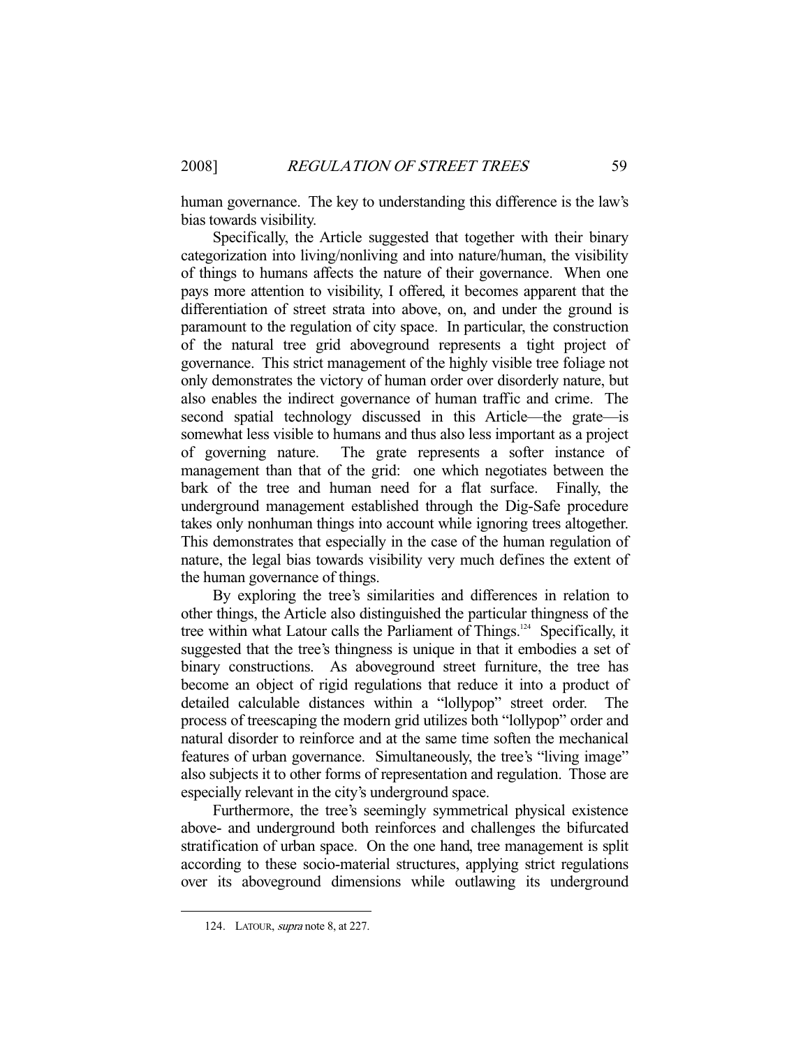human governance. The key to understanding this difference is the law's bias towards visibility.

 Specifically, the Article suggested that together with their binary categorization into living/nonliving and into nature/human, the visibility of things to humans affects the nature of their governance. When one pays more attention to visibility, I offered, it becomes apparent that the differentiation of street strata into above, on, and under the ground is paramount to the regulation of city space. In particular, the construction of the natural tree grid aboveground represents a tight project of governance. This strict management of the highly visible tree foliage not only demonstrates the victory of human order over disorderly nature, but also enables the indirect governance of human traffic and crime. The second spatial technology discussed in this Article—the grate—is somewhat less visible to humans and thus also less important as a project of governing nature. The grate represents a softer instance of management than that of the grid: one which negotiates between the bark of the tree and human need for a flat surface. Finally, the underground management established through the Dig-Safe procedure takes only nonhuman things into account while ignoring trees altogether. This demonstrates that especially in the case of the human regulation of nature, the legal bias towards visibility very much defines the extent of the human governance of things.

 By exploring the tree's similarities and differences in relation to other things, the Article also distinguished the particular thingness of the tree within what Latour calls the Parliament of Things.<sup>124</sup> Specifically, it suggested that the tree's thingness is unique in that it embodies a set of binary constructions. As aboveground street furniture, the tree has become an object of rigid regulations that reduce it into a product of detailed calculable distances within a "lollypop" street order. The process of treescaping the modern grid utilizes both "lollypop" order and natural disorder to reinforce and at the same time soften the mechanical features of urban governance. Simultaneously, the tree's "living image" also subjects it to other forms of representation and regulation. Those are especially relevant in the city's underground space.

 Furthermore, the tree's seemingly symmetrical physical existence above- and underground both reinforces and challenges the bifurcated stratification of urban space. On the one hand, tree management is split according to these socio-material structures, applying strict regulations over its aboveground dimensions while outlawing its underground

 <sup>124.</sup> LATOUR, supra note 8, at 227.